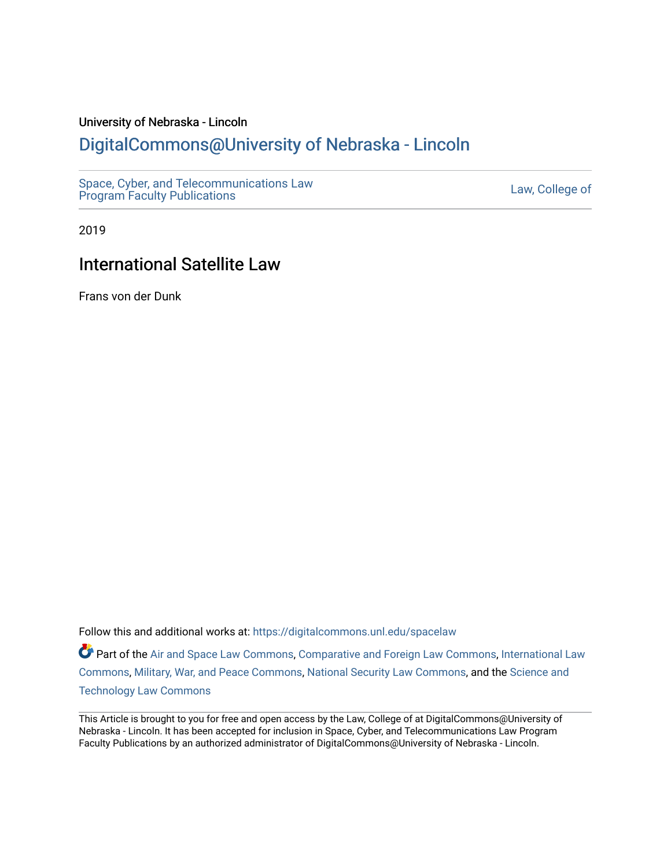#### University of Nebraska - Lincoln

### [DigitalCommons@University of Nebraska - Lincoln](https://digitalcommons.unl.edu/)

[Space, Cyber, and Telecommunications Law](https://digitalcommons.unl.edu/spacelaw)  Space, Cyber, and Telecommunications Law<br>[Program Faculty Publications](https://digitalcommons.unl.edu/spacelaw)

2019

### International Satellite Law

Frans von der Dunk

Follow this and additional works at: [https://digitalcommons.unl.edu/spacelaw](https://digitalcommons.unl.edu/spacelaw?utm_source=digitalcommons.unl.edu%2Fspacelaw%2F104&utm_medium=PDF&utm_campaign=PDFCoverPages) 

Part of the [Air and Space Law Commons](http://network.bepress.com/hgg/discipline/830?utm_source=digitalcommons.unl.edu%2Fspacelaw%2F104&utm_medium=PDF&utm_campaign=PDFCoverPages), [Comparative and Foreign Law Commons](http://network.bepress.com/hgg/discipline/836?utm_source=digitalcommons.unl.edu%2Fspacelaw%2F104&utm_medium=PDF&utm_campaign=PDFCoverPages), [International Law](http://network.bepress.com/hgg/discipline/609?utm_source=digitalcommons.unl.edu%2Fspacelaw%2F104&utm_medium=PDF&utm_campaign=PDFCoverPages) [Commons](http://network.bepress.com/hgg/discipline/609?utm_source=digitalcommons.unl.edu%2Fspacelaw%2F104&utm_medium=PDF&utm_campaign=PDFCoverPages), [Military, War, and Peace Commons,](http://network.bepress.com/hgg/discipline/861?utm_source=digitalcommons.unl.edu%2Fspacelaw%2F104&utm_medium=PDF&utm_campaign=PDFCoverPages) [National Security Law Commons](http://network.bepress.com/hgg/discipline/1114?utm_source=digitalcommons.unl.edu%2Fspacelaw%2F104&utm_medium=PDF&utm_campaign=PDFCoverPages), and the [Science and](http://network.bepress.com/hgg/discipline/875?utm_source=digitalcommons.unl.edu%2Fspacelaw%2F104&utm_medium=PDF&utm_campaign=PDFCoverPages) [Technology Law Commons](http://network.bepress.com/hgg/discipline/875?utm_source=digitalcommons.unl.edu%2Fspacelaw%2F104&utm_medium=PDF&utm_campaign=PDFCoverPages) 

This Article is brought to you for free and open access by the Law, College of at DigitalCommons@University of Nebraska - Lincoln. It has been accepted for inclusion in Space, Cyber, and Telecommunications Law Program Faculty Publications by an authorized administrator of DigitalCommons@University of Nebraska - Lincoln.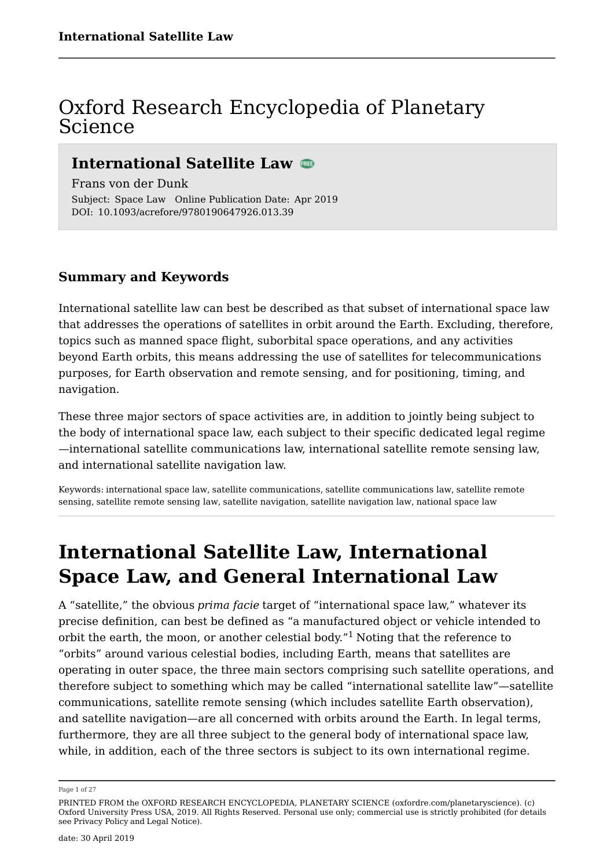### Oxford Research Encyclopedia of Planetary Science

### **International Satellite Law**

Subject: Space Law Online Publication Date: Apr 2019 DOI: 10.1093/acrefore/9780190647926.013.39 Frans von der Dunk

#### **Summary and Keywords**

International satellite law can best be described as that subset of international space law that addresses the operations of satellites in orbit around the Earth. Excluding, therefore, topics such as manned space flight, suborbital space operations, and any activities beyond Earth orbits, this means addressing the use of satellites for telecommunications purposes, for Earth observation and remote sensing, and for positioning, timing, and navigation.

These three major sectors of space activities are, in addition to jointly being subject to the body of international space law, each subject to their specific dedicated legal regime —international satellite communications law, international satellite remote sensing law, and international satellite navigation law.

Keywords: international space law, satellite communications, satellite communications law, satellite remote sensing, satellite remote sensing law, satellite navigation, satellite navigation law, national space law

### **International Satellite Law, International Space Law, and General International Law**

A "satellite," the obvious *prima facie* target of "international space law," whatever its precise definition, can best be defined as "a manufactured object or vehicle intended to orbit the earth, the moon, or another celestial body."<sup>1</sup> Noting that the reference to "orbits" around various celestial bodies, including Earth, means that satellites are operating in outer space, the three main sectors comprising such satellite operations, and therefore subject to something which may be called "international satellite law"—satellite communications, satellite remote sensing (which includes satellite Earth observation), and satellite navigation—are all concerned with orbits around the Earth. In legal terms, furthermore, they are all three subject to the general body of international space law, while, in addition, each of the three sectors is subject to its own international regime.

Page 1 of 27

PRINTED FROM the OXFORD RESEARCH ENCYCLOPEDIA, PLANETARY SCIENCE (oxfordre.com/planetaryscience). (c) Oxford University Press USA, 2019. All Rights Reserved. Personal use only; commercial use is strictly prohibited (for details see Privacy Policy and Legal Notice).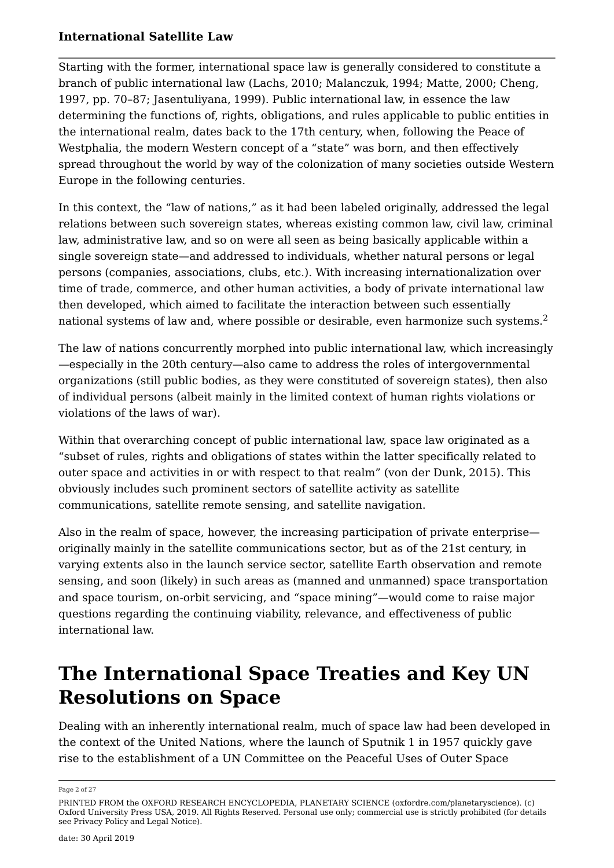Starting with the former, international space law is generally considered to constitute a branch of public international law (Lachs, 2010; Malanczuk, 1994; Matte, 2000; Cheng, 1997, pp. 70–87; Jasentuliyana, 1999). Public international law, in essence the law determining the functions of, rights, obligations, and rules applicable to public entities in the international realm, dates back to the 17th century, when, following the Peace of Westphalia, the modern Western concept of a "state" was born, and then effectively spread throughout the world by way of the colonization of many societies outside Western Europe in the following centuries.

In this context, the "law of nations," as it had been labeled originally, addressed the legal relations between such sovereign states, whereas existing common law, civil law, criminal law, administrative law, and so on were all seen as being basically applicable within a single sovereign state—and addressed to individuals, whether natural persons or legal persons (companies, associations, clubs, etc.). With increasing internationalization over time of trade, commerce, and other human activities, a body of private international law then developed, which aimed to facilitate the interaction between such essentially national systems of law and, where possible or desirable, even harmonize such systems.<sup>2</sup>

The law of nations concurrently morphed into public international law, which increasingly —especially in the 20th century—also came to address the roles of intergovernmental organizations (still public bodies, as they were constituted of sovereign states), then also of individual persons (albeit mainly in the limited context of human rights violations or violations of the laws of war).

Within that overarching concept of public international law, space law originated as a "subset of rules, rights and obligations of states within the latter specifically related to outer space and activities in or with respect to that realm" (von der Dunk, 2015). This obviously includes such prominent sectors of satellite activity as satellite communications, satellite remote sensing, and satellite navigation.

Also in the realm of space, however, the increasing participation of private enterprise originally mainly in the satellite communications sector, but as of the 21st century, in varying extents also in the launch service sector, satellite Earth observation and remote sensing, and soon (likely) in such areas as (manned and unmanned) space transportation and space tourism, on-orbit servicing, and "space mining"—would come to raise major questions regarding the continuing viability, relevance, and effectiveness of public international law.

# **The International Space Treaties and Key UN Resolutions on Space**

Dealing with an inherently international realm, much of space law had been developed in the context of the United Nations, where the launch of Sputnik 1 in 1957 quickly gave rise to the establishment of a UN Committee on the Peaceful Uses of Outer Space

Page 2 of 27

PRINTED FROM the OXFORD RESEARCH ENCYCLOPEDIA, PLANETARY SCIENCE (oxfordre.com/planetaryscience). (c) Oxford University Press USA, 2019. All Rights Reserved. Personal use only; commercial use is strictly prohibited (for details see Privacy Policy and Legal Notice).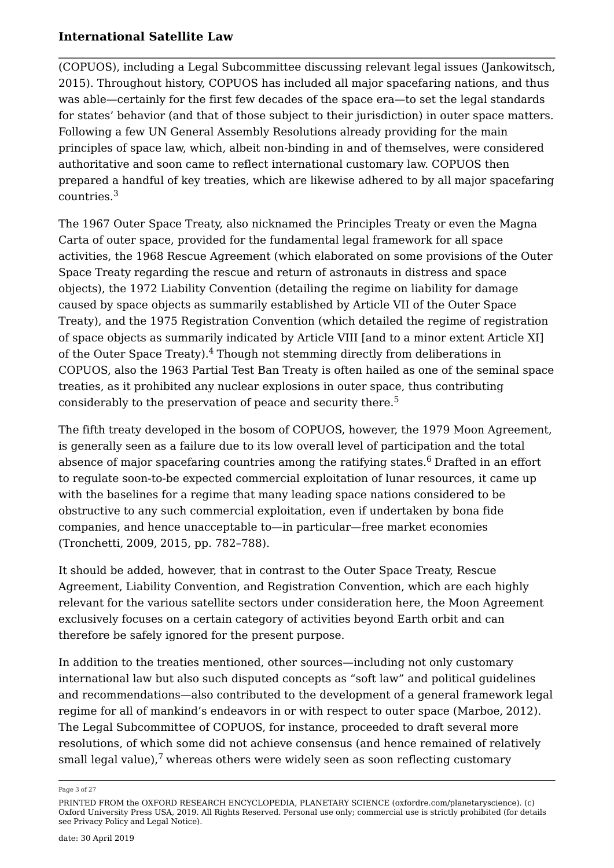(COPUOS), including a Legal Subcommittee discussing relevant legal issues (Jankowitsch, 2015). Throughout history, COPUOS has included all major spacefaring nations, and thus was able—certainly for the first few decades of the space era—to set the legal standards for states' behavior (and that of those subject to their jurisdiction) in outer space matters. Following a few UN General Assembly Resolutions already providing for the main principles of space law, which, albeit non-binding in and of themselves, were considered authoritative and soon came to reflect international customary law. COPUOS then prepared a handful of key treaties, which are likewise adhered to by all major spacefaring countries.<sup>3</sup>

The 1967 Outer Space Treaty, also nicknamed the Principles Treaty or even the Magna Carta of outer space, provided for the fundamental legal framework for all space activities, the 1968 Rescue Agreement (which elaborated on some provisions of the Outer Space Treaty regarding the rescue and return of astronauts in distress and space objects), the 1972 Liability Convention (detailing the regime on liability for damage caused by space objects as summarily established by Article VII of the Outer Space Treaty), and the 1975 Registration Convention (which detailed the regime of registration of space objects as summarily indicated by Article VIII [and to a minor extent Article XI] of the Outer Space Treaty).<sup>4</sup> Though not stemming directly from deliberations in COPUOS, also the 1963 Partial Test Ban Treaty is often hailed as one of the seminal space treaties, as it prohibited any nuclear explosions in outer space, thus contributing considerably to the preservation of peace and security there.<sup>5</sup>

The fifth treaty developed in the bosom of COPUOS, however, the 1979 Moon Agreement, is generally seen as a failure due to its low overall level of participation and the total absence of major spacefaring countries among the ratifying states. $6$  Drafted in an effort to regulate soon-to-be expected commercial exploitation of lunar resources, it came up with the baselines for a regime that many leading space nations considered to be obstructive to any such commercial exploitation, even if undertaken by bona fide companies, and hence unacceptable to—in particular—free market economies (Tronchetti, 2009, 2015, pp. 782–788).

It should be added, however, that in contrast to the Outer Space Treaty, Rescue Agreement, Liability Convention, and Registration Convention, which are each highly relevant for the various satellite sectors under consideration here, the Moon Agreement exclusively focuses on a certain category of activities beyond Earth orbit and can therefore be safely ignored for the present purpose.

In addition to the treaties mentioned, other sources—including not only customary international law but also such disputed concepts as "soft law" and political guidelines and recommendations—also contributed to the development of a general framework legal regime for all of mankind's endeavors in or with respect to outer space (Marboe, 2012). The Legal Subcommittee of COPUOS, for instance, proceeded to draft several more resolutions, of which some did not achieve consensus (and hence remained of relatively small legal value), $7$  whereas others were widely seen as soon reflecting customary

Page 3 of 27

PRINTED FROM the OXFORD RESEARCH ENCYCLOPEDIA, PLANETARY SCIENCE (oxfordre.com/planetaryscience). (c) Oxford University Press USA, 2019. All Rights Reserved. Personal use only; commercial use is strictly prohibited (for details see Privacy Policy and Legal Notice).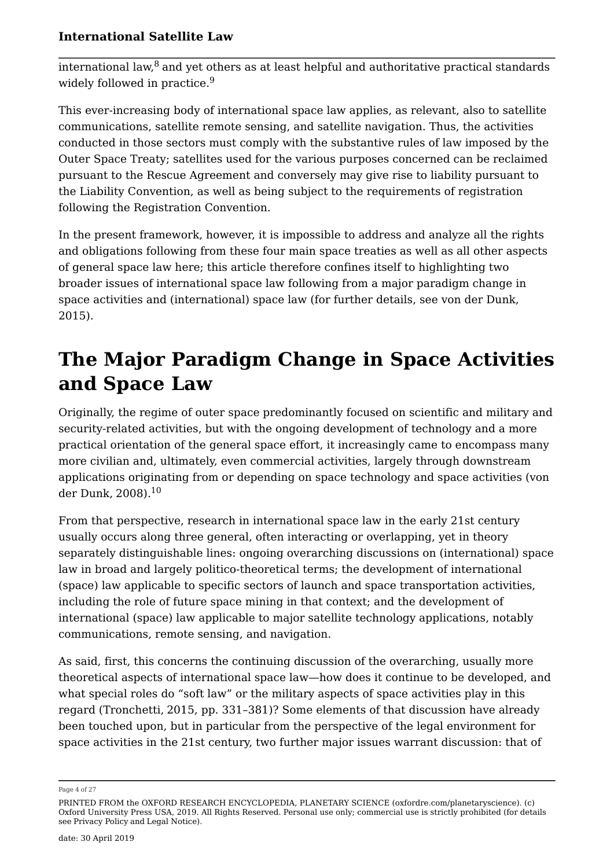$\overline{\text{intermational law}}$ <sup>8</sup> and yet others as at least helpful and authoritative practical standards widely followed in practice.<sup>9</sup>

This ever-increasing body of international space law applies, as relevant, also to satellite communications, satellite remote sensing, and satellite navigation. Thus, the activities conducted in those sectors must comply with the substantive rules of law imposed by the Outer Space Treaty; satellites used for the various purposes concerned can be reclaimed pursuant to the Rescue Agreement and conversely may give rise to liability pursuant to the Liability Convention, as well as being subject to the requirements of registration following the Registration Convention.

In the present framework, however, it is impossible to address and analyze all the rights and obligations following from these four main space treaties as well as all other aspects of general space law here; this article therefore confines itself to highlighting two broader issues of international space law following from a major paradigm change in space activities and (international) space law (for further details, see von der Dunk, 2015).

## **The Major Paradigm Change in Space Activities and Space Law**

Originally, the regime of outer space predominantly focused on scientific and military and security-related activities, but with the ongoing development of technology and a more practical orientation of the general space effort, it increasingly came to encompass many more civilian and, ultimately, even commercial activities, largely through downstream applications originating from or depending on space technology and space activities (von der Dunk, 2008).<sup>10</sup>

From that perspective, research in international space law in the early 21st century usually occurs along three general, often interacting or overlapping, yet in theory separately distinguishable lines: ongoing overarching discussions on (international) space law in broad and largely politico-theoretical terms; the development of international (space) law applicable to specific sectors of launch and space transportation activities, including the role of future space mining in that context; and the development of international (space) law applicable to major satellite technology applications, notably communications, remote sensing, and navigation.

As said, first, this concerns the continuing discussion of the overarching, usually more theoretical aspects of international space law—how does it continue to be developed, and what special roles do "soft law" or the military aspects of space activities play in this regard (Tronchetti, 2015, pp. 331–381)? Some elements of that discussion have already been touched upon, but in particular from the perspective of the legal environment for space activities in the 21st century, two further major issues warrant discussion: that of

Page 4 of 27

PRINTED FROM the OXFORD RESEARCH ENCYCLOPEDIA, PLANETARY SCIENCE (oxfordre.com/planetaryscience). (c) Oxford University Press USA, 2019. All Rights Reserved. Personal use only; commercial use is strictly prohibited (for details see Privacy Policy and Legal Notice).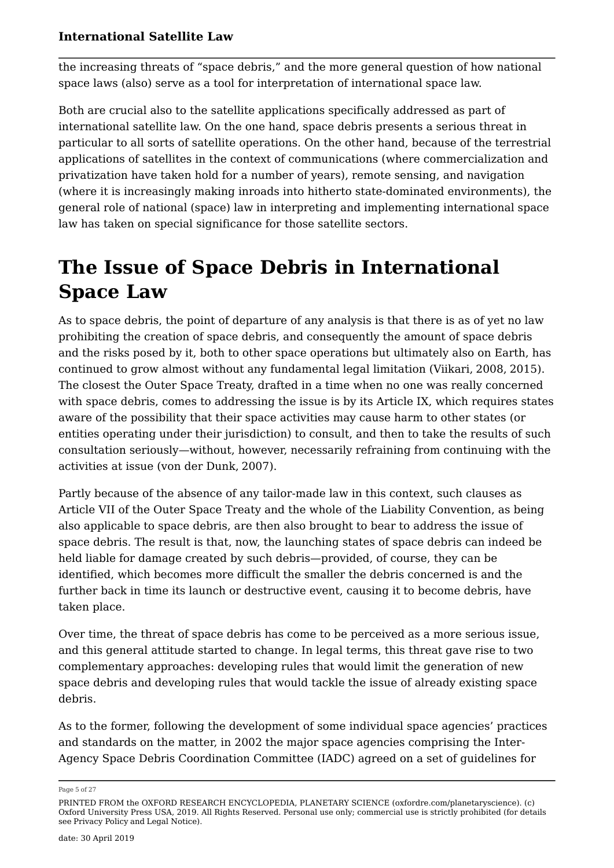the increasing threats of "space debris," and the more general question of how national space laws (also) serve as a tool for interpretation of international space law.

Both are crucial also to the satellite applications specifically addressed as part of international satellite law. On the one hand, space debris presents a serious threat in particular to all sorts of satellite operations. On the other hand, because of the terrestrial applications of satellites in the context of communications (where commercialization and privatization have taken hold for a number of years), remote sensing, and navigation (where it is increasingly making inroads into hitherto state-dominated environments), the general role of national (space) law in interpreting and implementing international space law has taken on special significance for those satellite sectors.

# **The Issue of Space Debris in International Space Law**

As to space debris, the point of departure of any analysis is that there is as of yet no law prohibiting the creation of space debris, and consequently the amount of space debris and the risks posed by it, both to other space operations but ultimately also on Earth, has continued to grow almost without any fundamental legal limitation (Viikari, 2008, 2015). The closest the Outer Space Treaty, drafted in a time when no one was really concerned with space debris, comes to addressing the issue is by its Article IX, which requires states aware of the possibility that their space activities may cause harm to other states (or entities operating under their jurisdiction) to consult, and then to take the results of such consultation seriously—without, however, necessarily refraining from continuing with the activities at issue (von der Dunk, 2007).

Partly because of the absence of any tailor-made law in this context, such clauses as Article VII of the Outer Space Treaty and the whole of the Liability Convention, as being also applicable to space debris, are then also brought to bear to address the issue of space debris. The result is that, now, the launching states of space debris can indeed be held liable for damage created by such debris—provided, of course, they can be identified, which becomes more difficult the smaller the debris concerned is and the further back in time its launch or destructive event, causing it to become debris, have taken place.

Over time, the threat of space debris has come to be perceived as a more serious issue, and this general attitude started to change. In legal terms, this threat gave rise to two complementary approaches: developing rules that would limit the generation of new space debris and developing rules that would tackle the issue of already existing space debris.

As to the former, following the development of some individual space agencies' practices and standards on the matter, in 2002 the major space agencies comprising the Inter-Agency Space Debris Coordination Committee (IADC) agreed on a set of guidelines for

Page 5 of 27

PRINTED FROM the OXFORD RESEARCH ENCYCLOPEDIA, PLANETARY SCIENCE (oxfordre.com/planetaryscience). (c) Oxford University Press USA, 2019. All Rights Reserved. Personal use only; commercial use is strictly prohibited (for details see Privacy Policy and Legal Notice).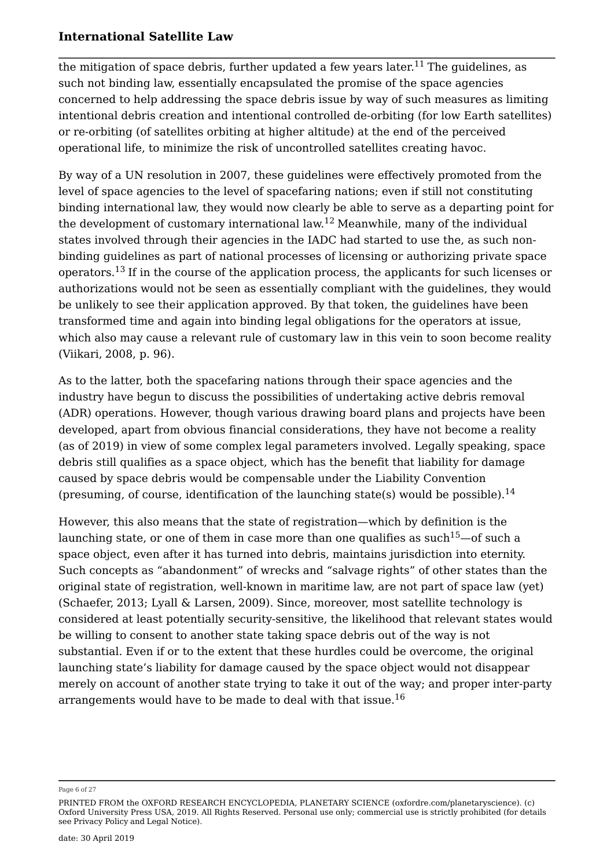the mitigation of space debris, further updated a few years later.<sup>11</sup> The guidelines, as such not binding law, essentially encapsulated the promise of the space agencies concerned to help addressing the space debris issue by way of such measures as limiting intentional debris creation and intentional controlled de-orbiting (for low Earth satellites) or re-orbiting (of satellites orbiting at higher altitude) at the end of the perceived operational life, to minimize the risk of uncontrolled satellites creating havoc.

By way of a UN resolution in 2007, these guidelines were effectively promoted from the level of space agencies to the level of spacefaring nations; even if still not constituting binding international law, they would now clearly be able to serve as a departing point for the development of customary international law.<sup>12</sup> Meanwhile, many of the individual states involved through their agencies in the IADC had started to use the, as such nonbinding guidelines as part of national processes of licensing or authorizing private space operators.<sup>13</sup> If in the course of the application process, the applicants for such licenses or authorizations would not be seen as essentially compliant with the guidelines, they would be unlikely to see their application approved. By that token, the guidelines have been transformed time and again into binding legal obligations for the operators at issue, which also may cause a relevant rule of customary law in this vein to soon become reality (Viikari, 2008, p. 96).

As to the latter, both the spacefaring nations through their space agencies and the industry have begun to discuss the possibilities of undertaking active debris removal (ADR) operations. However, though various drawing board plans and projects have been developed, apart from obvious financial considerations, they have not become a reality (as of 2019) in view of some complex legal parameters involved. Legally speaking, space debris still qualifies as a space object, which has the benefit that liability for damage caused by space debris would be compensable under the Liability Convention (presuming, of course, identification of the launching state(s) would be possible).<sup>14</sup>

However, this also means that the state of registration—which by definition is the launching state, or one of them in case more than one qualifies as such<sup>15</sup>—of such a space object, even after it has turned into debris, maintains jurisdiction into eternity. Such concepts as "abandonment" of wrecks and "salvage rights" of other states than the original state of registration, well-known in maritime law, are not part of space law (yet) (Schaefer, 2013; Lyall & Larsen, 2009). Since, moreover, most satellite technology is considered at least potentially security-sensitive, the likelihood that relevant states would be willing to consent to another state taking space debris out of the way is not substantial. Even if or to the extent that these hurdles could be overcome, the original launching state's liability for damage caused by the space object would not disappear merely on account of another state trying to take it out of the way; and proper inter-party arrangements would have to be made to deal with that issue.<sup>16</sup>

Page 6 of 27

PRINTED FROM the OXFORD RESEARCH ENCYCLOPEDIA, PLANETARY SCIENCE (oxfordre.com/planetaryscience). (c) Oxford University Press USA, 2019. All Rights Reserved. Personal use only; commercial use is strictly prohibited (for details see Privacy Policy and Legal Notice).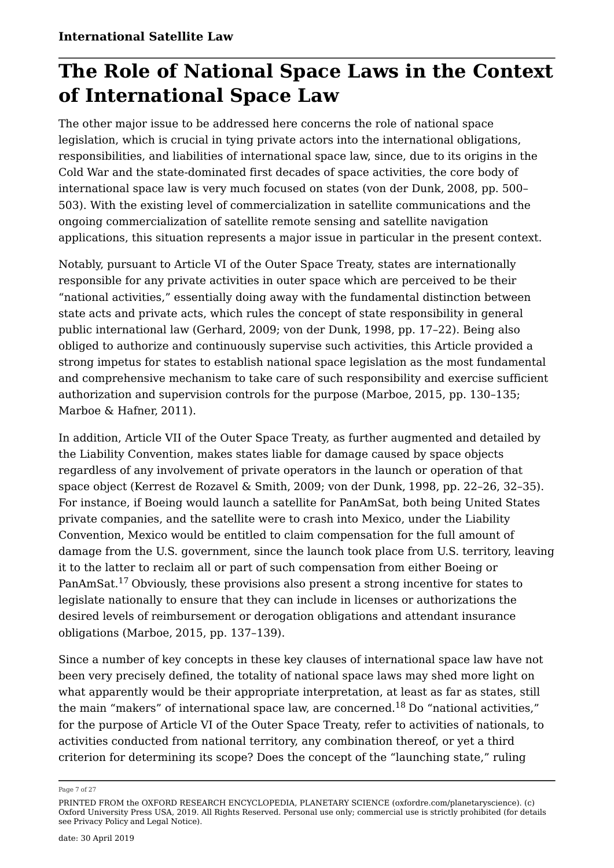## **The Role of National Space Laws in the Context of International Space Law**

The other major issue to be addressed here concerns the role of national space legislation, which is crucial in tying private actors into the international obligations, responsibilities, and liabilities of international space law, since, due to its origins in the Cold War and the state-dominated first decades of space activities, the core body of international space law is very much focused on states (von der Dunk, 2008, pp. 500– 503). With the existing level of commercialization in satellite communications and the ongoing commercialization of satellite remote sensing and satellite navigation applications, this situation represents a major issue in particular in the present context.

Notably, pursuant to Article VI of the Outer Space Treaty, states are internationally responsible for any private activities in outer space which are perceived to be their "national activities," essentially doing away with the fundamental distinction between state acts and private acts, which rules the concept of state responsibility in general public international law (Gerhard, 2009; von der Dunk, 1998, pp. 17–22). Being also obliged to authorize and continuously supervise such activities, this Article provided a strong impetus for states to establish national space legislation as the most fundamental and comprehensive mechanism to take care of such responsibility and exercise sufficient authorization and supervision controls for the purpose (Marboe, 2015, pp. 130–135; Marboe & Hafner, 2011).

In addition, Article VII of the Outer Space Treaty, as further augmented and detailed by the Liability Convention, makes states liable for damage caused by space objects regardless of any involvement of private operators in the launch or operation of that space object (Kerrest de Rozavel & Smith, 2009; von der Dunk, 1998, pp. 22–26, 32–35). For instance, if Boeing would launch a satellite for PanAmSat, both being United States private companies, and the satellite were to crash into Mexico, under the Liability Convention, Mexico would be entitled to claim compensation for the full amount of damage from the U.S. government, since the launch took place from U.S. territory, leaving it to the latter to reclaim all or part of such compensation from either Boeing or PanAmSat.<sup>17</sup> Obviously, these provisions also present a strong incentive for states to legislate nationally to ensure that they can include in licenses or authorizations the desired levels of reimbursement or derogation obligations and attendant insurance obligations (Marboe, 2015, pp. 137–139).

Since a number of key concepts in these key clauses of international space law have not been very precisely defined, the totality of national space laws may shed more light on what apparently would be their appropriate interpretation, at least as far as states, still the main "makers" of international space law, are concerned.<sup>18</sup> Do "national activities," for the purpose of Article VI of the Outer Space Treaty, refer to activities of nationals, to activities conducted from national territory, any combination thereof, or yet a third criterion for determining its scope? Does the concept of the "launching state," ruling

Page 7 of 27

PRINTED FROM the OXFORD RESEARCH ENCYCLOPEDIA, PLANETARY SCIENCE (oxfordre.com/planetaryscience). (c) Oxford University Press USA, 2019. All Rights Reserved. Personal use only; commercial use is strictly prohibited (for details see Privacy Policy and Legal Notice).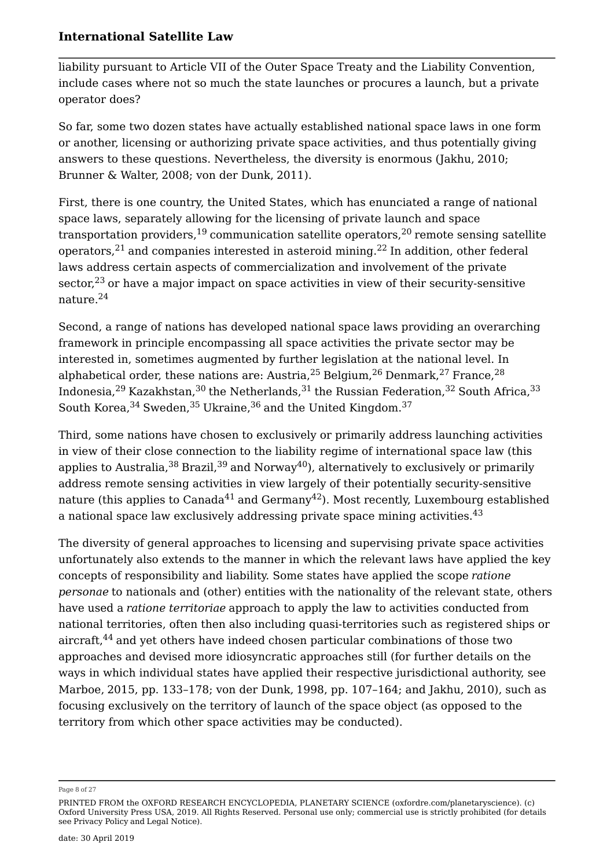liability pursuant to Article VII of the Outer Space Treaty and the Liability Convention, include cases where not so much the state launches or procures a launch, but a private operator does?

So far, some two dozen states have actually established national space laws in one form or another, licensing or authorizing private space activities, and thus potentially giving answers to these questions. Nevertheless, the diversity is enormous (Jakhu, 2010; Brunner & Walter, 2008; von der Dunk, 2011).

First, there is one country, the United States, which has enunciated a range of national space laws, separately allowing for the licensing of private launch and space transportation providers,  $19$  communication satellite operators,  $20$  remote sensing satellite operators,  $21$  and companies interested in asteroid mining.  $22$  In addition, other federal laws address certain aspects of commercialization and involvement of the private sector.<sup>23</sup> or have a major impact on space activities in view of their security-sensitive nature.<sup>24</sup>

Second, a range of nations has developed national space laws providing an overarching framework in principle encompassing all space activities the private sector may be interested in, sometimes augmented by further legislation at the national level. In alphabetical order, these nations are: Austria,  $25$  Belgium,  $26$  Denmark,  $27$  France,  $28$ Indonesia,  $29$  Kazakhstan,  $30$  the Netherlands,  $31$  the Russian Federation,  $32$  South Africa,  $33$ South Korea,  $34$  Sweden,  $35$  Ukraine,  $36$  and the United Kingdom.  $37$ 

Third, some nations have chosen to exclusively or primarily address launching activities in view of their close connection to the liability regime of international space law (this applies to Australia,  $38$  Brazil,  $39$  and Norway<sup>40</sup>), alternatively to exclusively or primarily address remote sensing activities in view largely of their potentially security-sensitive nature (this applies to Canada<sup>41</sup> and Germany<sup>42</sup>). Most recently, Luxembourg established a national space law exclusively addressing private space mining activities.<sup>43</sup>

The diversity of general approaches to licensing and supervising private space activities unfortunately also extends to the manner in which the relevant laws have applied the key concepts of responsibility and liability. Some states have applied the scope *ratione personae* to nationals and (other) entities with the nationality of the relevant state, others have used a *ratione territoriae* approach to apply the law to activities conducted from national territories, often then also including quasi-territories such as registered ships or aircraft,<sup>44</sup> and yet others have indeed chosen particular combinations of those two approaches and devised more idiosyncratic approaches still (for further details on the ways in which individual states have applied their respective jurisdictional authority, see Marboe, 2015, pp. 133–178; von der Dunk, 1998, pp. 107–164; and Jakhu, 2010), such as focusing exclusively on the territory of launch of the space object (as opposed to the territory from which other space activities may be conducted).

Page 8 of 27

PRINTED FROM the OXFORD RESEARCH ENCYCLOPEDIA, PLANETARY SCIENCE (oxfordre.com/planetaryscience). (c) Oxford University Press USA, 2019. All Rights Reserved. Personal use only; commercial use is strictly prohibited (for details see Privacy Policy and Legal Notice).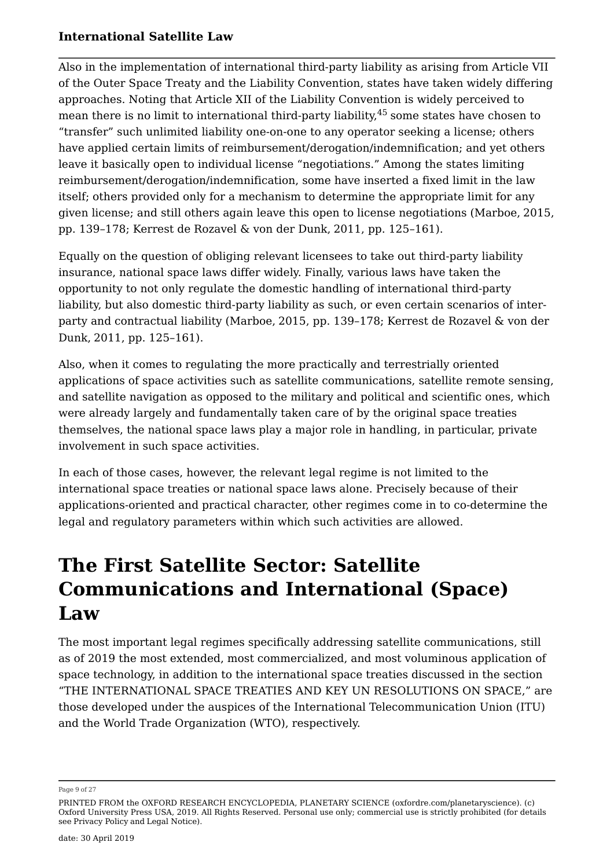Also in the implementation of international third-party liability as arising from Article VII of the Outer Space Treaty and the Liability Convention, states have taken widely differing approaches. Noting that Article XII of the Liability Convention is widely perceived to mean there is no limit to international third-party liability,<sup>45</sup> some states have chosen to "transfer" such unlimited liability one-on-one to any operator seeking a license; others have applied certain limits of reimbursement/derogation/indemnification; and yet others leave it basically open to individual license "negotiations." Among the states limiting reimbursement/derogation/indemnification, some have inserted a fixed limit in the law itself; others provided only for a mechanism to determine the appropriate limit for any given license; and still others again leave this open to license negotiations (Marboe, 2015, pp. 139–178; Kerrest de Rozavel & von der Dunk, 2011, pp. 125–161).

Equally on the question of obliging relevant licensees to take out third-party liability insurance, national space laws differ widely. Finally, various laws have taken the opportunity to not only regulate the domestic handling of international third-party liability, but also domestic third-party liability as such, or even certain scenarios of interparty and contractual liability (Marboe, 2015, pp. 139–178; Kerrest de Rozavel & von der Dunk, 2011, pp. 125–161).

Also, when it comes to regulating the more practically and terrestrially oriented applications of space activities such as satellite communications, satellite remote sensing, and satellite navigation as opposed to the military and political and scientific ones, which were already largely and fundamentally taken care of by the original space treaties themselves, the national space laws play a major role in handling, in particular, private involvement in such space activities.

In each of those cases, however, the relevant legal regime is not limited to the international space treaties or national space laws alone. Precisely because of their applications-oriented and practical character, other regimes come in to co-determine the legal and regulatory parameters within which such activities are allowed.

## **The First Satellite Sector: Satellite Communications and International (Space) Law**

The most important legal regimes specifically addressing satellite communications, still as of 2019 the most extended, most commercialized, and most voluminous application of space technology, in addition to the international space treaties discussed in the section "THE INTERNATIONAL SPACE TREATIES AND KEY UN RESOLUTIONS ON SPACE," are those developed under the auspices of the International Telecommunication Union (ITU) and the World Trade Organization (WTO), respectively.

Page 9 of 27

PRINTED FROM the OXFORD RESEARCH ENCYCLOPEDIA, PLANETARY SCIENCE (oxfordre.com/planetaryscience). (c) Oxford University Press USA, 2019. All Rights Reserved. Personal use only; commercial use is strictly prohibited (for details see Privacy Policy and Legal Notice).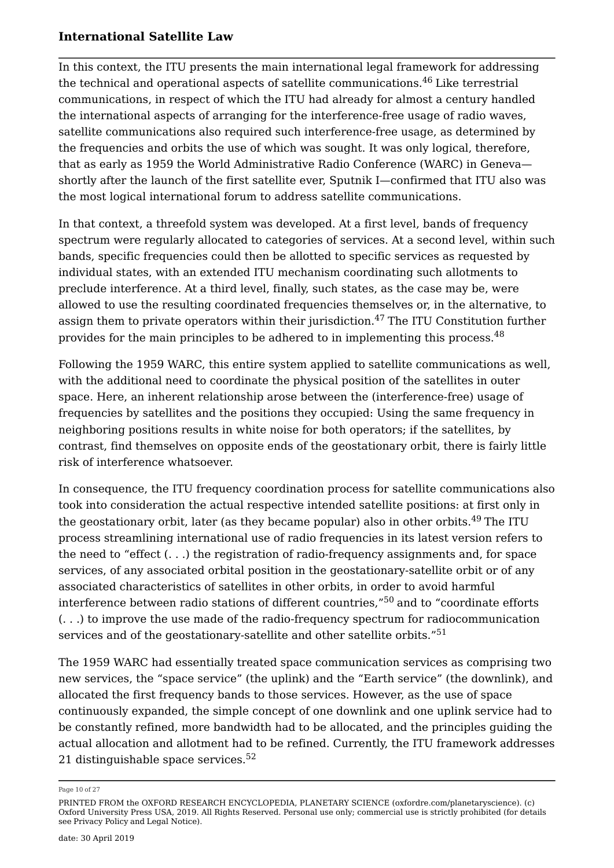In this context, the ITU presents the main international legal framework for addressing the technical and operational aspects of satellite communications.<sup>46</sup> Like terrestrial communications, in respect of which the ITU had already for almost a century handled the international aspects of arranging for the interference-free usage of radio waves, satellite communications also required such interference-free usage, as determined by the frequencies and orbits the use of which was sought. It was only logical, therefore, that as early as 1959 the World Administrative Radio Conference (WARC) in Geneva shortly after the launch of the first satellite ever, Sputnik I—confirmed that ITU also was the most logical international forum to address satellite communications.

In that context, a threefold system was developed. At a first level, bands of frequency spectrum were regularly allocated to categories of services. At a second level, within such bands, specific frequencies could then be allotted to specific services as requested by individual states, with an extended ITU mechanism coordinating such allotments to preclude interference. At a third level, finally, such states, as the case may be, were allowed to use the resulting coordinated frequencies themselves or, in the alternative, to assign them to private operators within their jurisdiction.<sup>47</sup> The ITU Constitution further provides for the main principles to be adhered to in implementing this process.<sup>48</sup>

Following the 1959 WARC, this entire system applied to satellite communications as well, with the additional need to coordinate the physical position of the satellites in outer space. Here, an inherent relationship arose between the (interference-free) usage of frequencies by satellites and the positions they occupied: Using the same frequency in neighboring positions results in white noise for both operators; if the satellites, by contrast, find themselves on opposite ends of the geostationary orbit, there is fairly little risk of interference whatsoever.

In consequence, the ITU frequency coordination process for satellite communications also took into consideration the actual respective intended satellite positions: at first only in the geostationary orbit, later (as they became popular) also in other orbits.<sup>49</sup> The ITU process streamlining international use of radio frequencies in its latest version refers to the need to "effect (. . .) the registration of radio-frequency assignments and, for space services, of any associated orbital position in the geostationary-satellite orbit or of any associated characteristics of satellites in other orbits, in order to avoid harmful interference between radio stations of different countries,"<sup>50</sup> and to "coordinate efforts (. . .) to improve the use made of the radio-frequency spectrum for radiocommunication services and of the geostationary-satellite and other satellite orbits."<sup>51</sup>

The 1959 WARC had essentially treated space communication services as comprising two new services, the "space service" (the uplink) and the "Earth service" (the downlink), and allocated the first frequency bands to those services. However, as the use of space continuously expanded, the simple concept of one downlink and one uplink service had to be constantly refined, more bandwidth had to be allocated, and the principles guiding the actual allocation and allotment had to be refined. Currently, the ITU framework addresses 21 distinguishable space services. $52$ 

Page 10 of 27

PRINTED FROM the OXFORD RESEARCH ENCYCLOPEDIA, PLANETARY SCIENCE (oxfordre.com/planetaryscience). (c) Oxford University Press USA, 2019. All Rights Reserved. Personal use only; commercial use is strictly prohibited (for details see Privacy Policy and Legal Notice).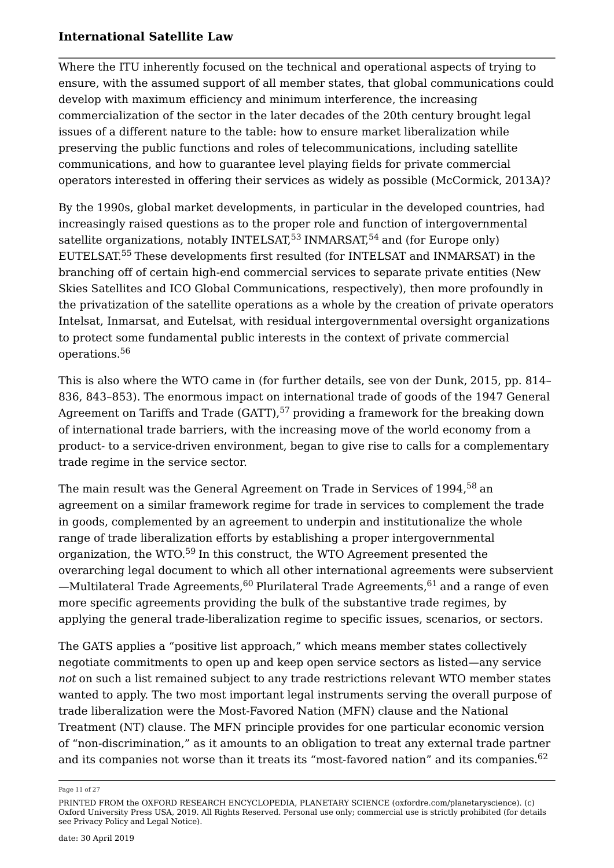Where the ITU inherently focused on the technical and operational aspects of trying to ensure, with the assumed support of all member states, that global communications could develop with maximum efficiency and minimum interference, the increasing commercialization of the sector in the later decades of the 20th century brought legal issues of a different nature to the table: how to ensure market liberalization while preserving the public functions and roles of telecommunications, including satellite communications, and how to guarantee level playing fields for private commercial operators interested in offering their services as widely as possible (McCormick, 2013A)?

By the 1990s, global market developments, in particular in the developed countries, had increasingly raised questions as to the proper role and function of intergovernmental satellite organizations, notably INTELSAT,<sup>53</sup> INMARSAT,<sup>54</sup> and (for Europe only) EUTELSAT.<sup>55</sup> These developments first resulted (for INTELSAT and INMARSAT) in the branching off of certain high-end commercial services to separate private entities (New Skies Satellites and ICO Global Communications, respectively), then more profoundly in the privatization of the satellite operations as a whole by the creation of private operators Intelsat, Inmarsat, and Eutelsat, with residual intergovernmental oversight organizations to protect some fundamental public interests in the context of private commercial operations.<sup>56</sup>

This is also where the WTO came in (for further details, see von der Dunk, 2015, pp. 814– 836, 843–853). The enormous impact on international trade of goods of the 1947 General Agreement on Tariffs and Trade  $(GATT)$ ,  $57$  providing a framework for the breaking down of international trade barriers, with the increasing move of the world economy from a product- to a service-driven environment, began to give rise to calls for a complementary trade regime in the service sector.

The main result was the General Agreement on Trade in Services of 1994,<sup>58</sup> an agreement on a similar framework regime for trade in services to complement the trade in goods, complemented by an agreement to underpin and institutionalize the whole range of trade liberalization efforts by establishing a proper intergovernmental organization, the WTO.<sup>59</sup> In this construct, the WTO Agreement presented the overarching legal document to which all other international agreements were subservient  $-Multilateral Trade Agreements<sub>0</sub><sup>60</sup> Plurilateral Trade Agreements<sub>0</sub>$ more specific agreements providing the bulk of the substantive trade regimes, by applying the general trade-liberalization regime to specific issues, scenarios, or sectors.

The GATS applies a "positive list approach," which means member states collectively negotiate commitments to open up and keep open service sectors as listed—any service *not* on such a list remained subject to any trade restrictions relevant WTO member states wanted to apply. The two most important legal instruments serving the overall purpose of trade liberalization were the Most-Favored Nation (MFN) clause and the National Treatment (NT) clause. The MFN principle provides for one particular economic version of "non-discrimination," as it amounts to an obligation to treat any external trade partner and its companies not worse than it treats its "most-favored nation" and its companies.<sup>62</sup>

Page 11 of 27

PRINTED FROM the OXFORD RESEARCH ENCYCLOPEDIA, PLANETARY SCIENCE (oxfordre.com/planetaryscience). (c) Oxford University Press USA, 2019. All Rights Reserved. Personal use only; commercial use is strictly prohibited (for details see Privacy Policy and Legal Notice).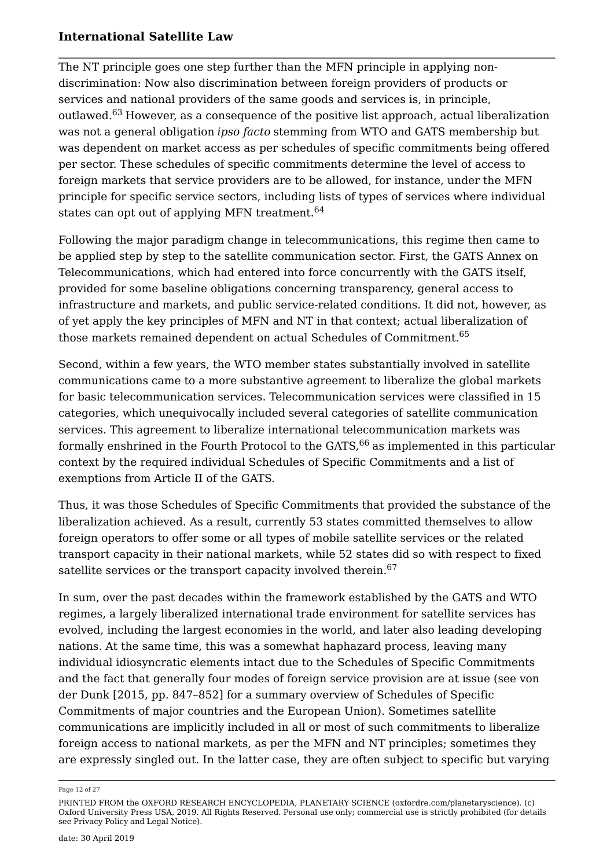The NT principle goes one step further than the MFN principle in applying nondiscrimination: Now also discrimination between foreign providers of products or services and national providers of the same goods and services is, in principle, outlawed.<sup>63</sup> However, as a consequence of the positive list approach, actual liberalization was not a general obligation *ipso facto* stemming from WTO and GATS membership but was dependent on market access as per schedules of specific commitments being offered per sector. These schedules of specific commitments determine the level of access to foreign markets that service providers are to be allowed, for instance, under the MFN principle for specific service sectors, including lists of types of services where individual states can opt out of applying MFN treatment.<sup>64</sup>

Following the major paradigm change in telecommunications, this regime then came to be applied step by step to the satellite communication sector. First, the GATS Annex on Telecommunications, which had entered into force concurrently with the GATS itself, provided for some baseline obligations concerning transparency, general access to infrastructure and markets, and public service-related conditions. It did not, however, as of yet apply the key principles of MFN and NT in that context; actual liberalization of those markets remained dependent on actual Schedules of Commitment.<sup>65</sup>

Second, within a few years, the WTO member states substantially involved in satellite communications came to a more substantive agreement to liberalize the global markets for basic telecommunication services. Telecommunication services were classified in 15 categories, which unequivocally included several categories of satellite communication services. This agreement to liberalize international telecommunication markets was formally enshrined in the Fourth Protocol to the  $GATS<sub>66</sub>$  as implemented in this particular context by the required individual Schedules of Specific Commitments and a list of exemptions from Article II of the GATS.

Thus, it was those Schedules of Specific Commitments that provided the substance of the liberalization achieved. As a result, currently 53 states committed themselves to allow foreign operators to offer some or all types of mobile satellite services or the related transport capacity in their national markets, while 52 states did so with respect to fixed satellite services or the transport capacity involved therein.<sup>67</sup>

In sum, over the past decades within the framework established by the GATS and WTO regimes, a largely liberalized international trade environment for satellite services has evolved, including the largest economies in the world, and later also leading developing nations. At the same time, this was a somewhat haphazard process, leaving many individual idiosyncratic elements intact due to the Schedules of Specific Commitments and the fact that generally four modes of foreign service provision are at issue (see von der Dunk [2015, pp. 847–852] for a summary overview of Schedules of Specific Commitments of major countries and the European Union). Sometimes satellite communications are implicitly included in all or most of such commitments to liberalize foreign access to national markets, as per the MFN and NT principles; sometimes they are expressly singled out. In the latter case, they are often subject to specific but varying

Page 12 of 27

PRINTED FROM the OXFORD RESEARCH ENCYCLOPEDIA, PLANETARY SCIENCE (oxfordre.com/planetaryscience). (c) Oxford University Press USA, 2019. All Rights Reserved. Personal use only; commercial use is strictly prohibited (for details see Privacy Policy and Legal Notice).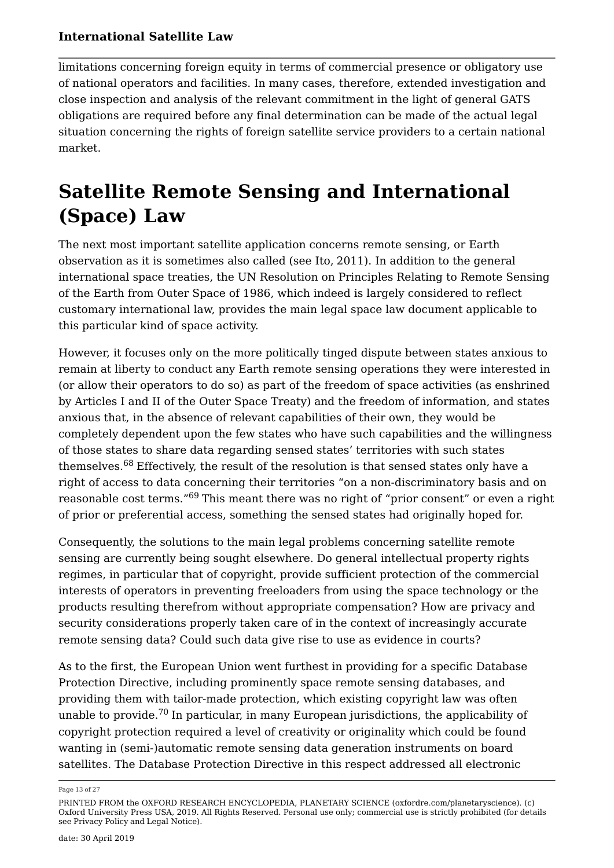limitations concerning foreign equity in terms of commercial presence or obligatory use of national operators and facilities. In many cases, therefore, extended investigation and close inspection and analysis of the relevant commitment in the light of general GATS obligations are required before any final determination can be made of the actual legal situation concerning the rights of foreign satellite service providers to a certain national market.

## **Satellite Remote Sensing and International (Space) Law**

The next most important satellite application concerns remote sensing, or Earth observation as it is sometimes also called (see Ito, 2011). In addition to the general international space treaties, the UN Resolution on Principles Relating to Remote Sensing of the Earth from Outer Space of 1986, which indeed is largely considered to reflect customary international law, provides the main legal space law document applicable to this particular kind of space activity.

However, it focuses only on the more politically tinged dispute between states anxious to remain at liberty to conduct any Earth remote sensing operations they were interested in (or allow their operators to do so) as part of the freedom of space activities (as enshrined by Articles I and II of the Outer Space Treaty) and the freedom of information, and states anxious that, in the absence of relevant capabilities of their own, they would be completely dependent upon the few states who have such capabilities and the willingness of those states to share data regarding sensed states' territories with such states themselves.<sup>68</sup> Effectively, the result of the resolution is that sensed states only have a right of access to data concerning their territories "on a non-discriminatory basis and on reasonable cost terms."<sup>69</sup> This meant there was no right of "prior consent" or even a right of prior or preferential access, something the sensed states had originally hoped for.

Consequently, the solutions to the main legal problems concerning satellite remote sensing are currently being sought elsewhere. Do general intellectual property rights regimes, in particular that of copyright, provide sufficient protection of the commercial interests of operators in preventing freeloaders from using the space technology or the products resulting therefrom without appropriate compensation? How are privacy and security considerations properly taken care of in the context of increasingly accurate remote sensing data? Could such data give rise to use as evidence in courts?

As to the first, the European Union went furthest in providing for a specific Database Protection Directive, including prominently space remote sensing databases, and providing them with tailor-made protection, which existing copyright law was often unable to provide.<sup>70</sup> In particular, in many European jurisdictions, the applicability of copyright protection required a level of creativity or originality which could be found wanting in (semi-)automatic remote sensing data generation instruments on board satellites. The Database Protection Directive in this respect addressed all electronic

Page 13 of 27

PRINTED FROM the OXFORD RESEARCH ENCYCLOPEDIA, PLANETARY SCIENCE (oxfordre.com/planetaryscience). (c) Oxford University Press USA, 2019. All Rights Reserved. Personal use only; commercial use is strictly prohibited (for details see Privacy Policy and Legal Notice).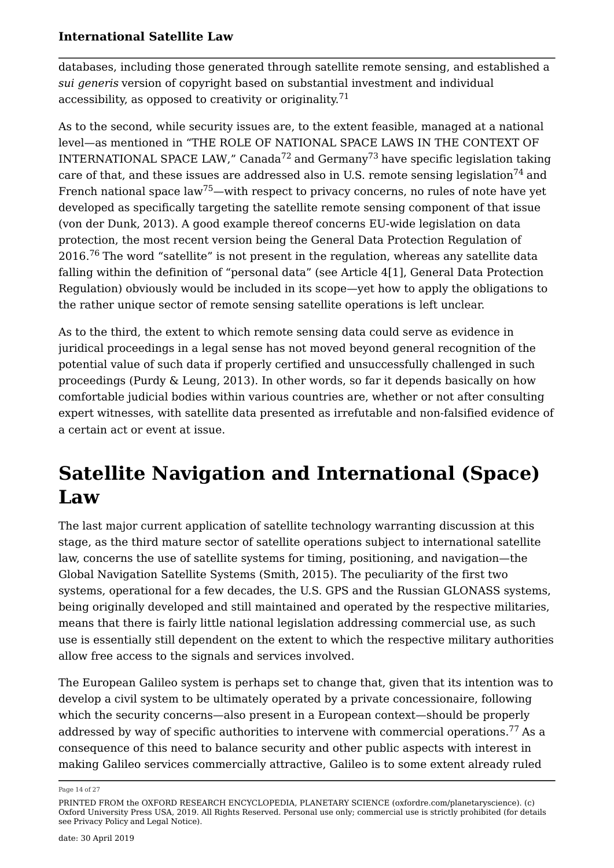databases, including those generated through satellite remote sensing, and established a *sui generis* version of copyright based on substantial investment and individual accessibility, as opposed to creativity or originality.<sup>71</sup>

As to the second, while security issues are, to the extent feasible, managed at a national level—as mentioned in "THE ROLE OF NATIONAL SPACE LAWS IN THE CONTEXT OF INTERNATIONAL SPACE LAW," Canada<sup>72</sup> and Germany<sup>73</sup> have specific legislation taking care of that, and these issues are addressed also in U.S. remote sensing legislation<sup>74</sup> and French national space  $\text{law}^{75}$ —with respect to privacy concerns, no rules of note have yet developed as specifically targeting the satellite remote sensing component of that issue (von der Dunk, 2013). A good example thereof concerns EU-wide legislation on data protection, the most recent version being the General Data Protection Regulation of 2016.<sup>76</sup> The word "satellite" is not present in the regulation, whereas any satellite data falling within the definition of "personal data" (see Article 4[1], General Data Protection Regulation) obviously would be included in its scope—yet how to apply the obligations to the rather unique sector of remote sensing satellite operations is left unclear.

As to the third, the extent to which remote sensing data could serve as evidence in juridical proceedings in a legal sense has not moved beyond general recognition of the potential value of such data if properly certified and unsuccessfully challenged in such proceedings (Purdy & Leung, 2013). In other words, so far it depends basically on how comfortable judicial bodies within various countries are, whether or not after consulting expert witnesses, with satellite data presented as irrefutable and non-falsified evidence of a certain act or event at issue.

## **Satellite Navigation and International (Space) Law**

The last major current application of satellite technology warranting discussion at this stage, as the third mature sector of satellite operations subject to international satellite law, concerns the use of satellite systems for timing, positioning, and navigation—the Global Navigation Satellite Systems (Smith, 2015). The peculiarity of the first two systems, operational for a few decades, the U.S. GPS and the Russian GLONASS systems, being originally developed and still maintained and operated by the respective militaries, means that there is fairly little national legislation addressing commercial use, as such use is essentially still dependent on the extent to which the respective military authorities allow free access to the signals and services involved.

The European Galileo system is perhaps set to change that, given that its intention was to develop a civil system to be ultimately operated by a private concessionaire, following which the security concerns—also present in a European context—should be properly addressed by way of specific authorities to intervene with commercial operations.<sup>77</sup> As a consequence of this need to balance security and other public aspects with interest in making Galileo services commercially attractive, Galileo is to some extent already ruled

Page 14 of 27

PRINTED FROM the OXFORD RESEARCH ENCYCLOPEDIA, PLANETARY SCIENCE (oxfordre.com/planetaryscience). (c) Oxford University Press USA, 2019. All Rights Reserved. Personal use only; commercial use is strictly prohibited (for details see Privacy Policy and Legal Notice).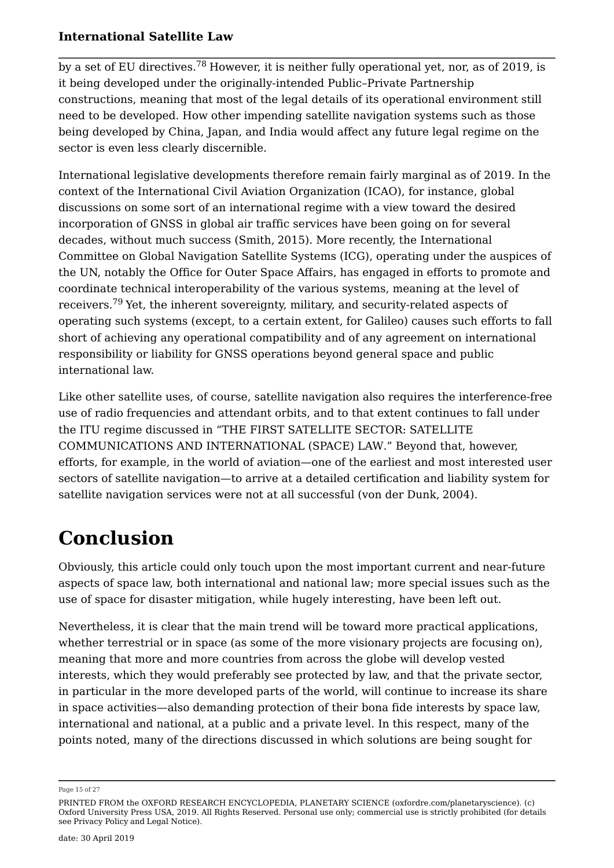by a set of EU directives.<sup>78</sup> However, it is neither fully operational yet, nor, as of 2019, is it being developed under the originally-intended Public–Private Partnership constructions, meaning that most of the legal details of its operational environment still need to be developed. How other impending satellite navigation systems such as those being developed by China, Japan, and India would affect any future legal regime on the sector is even less clearly discernible.

International legislative developments therefore remain fairly marginal as of 2019. In the context of the International Civil Aviation Organization (ICAO), for instance, global discussions on some sort of an international regime with a view toward the desired incorporation of GNSS in global air traffic services have been going on for several decades, without much success (Smith, 2015). More recently, the International Committee on Global Navigation Satellite Systems (ICG), operating under the auspices of the UN, notably the Office for Outer Space Affairs, has engaged in efforts to promote and coordinate technical interoperability of the various systems, meaning at the level of receivers.<sup>79</sup> Yet, the inherent sovereignty, military, and security-related aspects of operating such systems (except, to a certain extent, for Galileo) causes such efforts to fall short of achieving any operational compatibility and of any agreement on international responsibility or liability for GNSS operations beyond general space and public international law.

Like other satellite uses, of course, satellite navigation also requires the interference-free use of radio frequencies and attendant orbits, and to that extent continues to fall under the ITU regime discussed in "THE FIRST SATELLITE SECTOR: SATELLITE COMMUNICATIONS AND INTERNATIONAL (SPACE) LAW." Beyond that, however, efforts, for example, in the world of aviation—one of the earliest and most interested user sectors of satellite navigation—to arrive at a detailed certification and liability system for satellite navigation services were not at all successful (von der Dunk, 2004).

# **Conclusion**

Obviously, this article could only touch upon the most important current and near-future aspects of space law, both international and national law; more special issues such as the use of space for disaster mitigation, while hugely interesting, have been left out.

Nevertheless, it is clear that the main trend will be toward more practical applications, whether terrestrial or in space (as some of the more visionary projects are focusing on), meaning that more and more countries from across the globe will develop vested interests, which they would preferably see protected by law, and that the private sector, in particular in the more developed parts of the world, will continue to increase its share in space activities—also demanding protection of their bona fide interests by space law, international and national, at a public and a private level. In this respect, many of the points noted, many of the directions discussed in which solutions are being sought for

Page 15 of 27

PRINTED FROM the OXFORD RESEARCH ENCYCLOPEDIA, PLANETARY SCIENCE (oxfordre.com/planetaryscience). (c) Oxford University Press USA, 2019. All Rights Reserved. Personal use only; commercial use is strictly prohibited (for details see Privacy Policy and Legal Notice).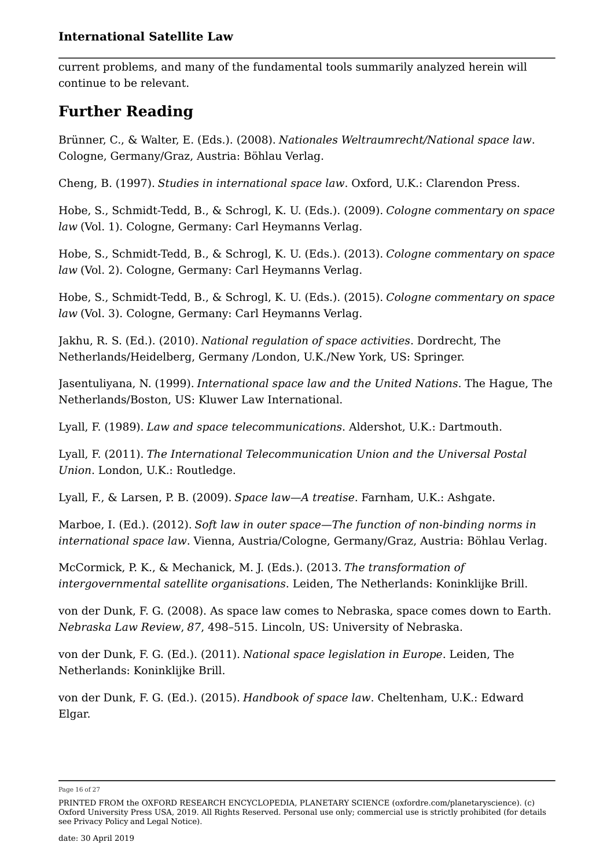current problems, and many of the fundamental tools summarily analyzed herein will continue to be relevant.

### **Further Reading**

Brünner, C., & Walter, E. (Eds.). (2008). *Nationales Weltraumrecht/National space law*. Cologne, Germany/Graz, Austria: Böhlau Verlag.

Cheng, B. (1997). *Studies in international space law*. Oxford, U.K.: Clarendon Press.

Hobe, S., Schmidt-Tedd, B., & Schrogl, K. U. (Eds.). (2009). *Cologne commentary on space law* (Vol. 1). Cologne, Germany: Carl Heymanns Verlag.

Hobe, S., Schmidt-Tedd, B., & Schrogl, K. U. (Eds.). (2013). *Cologne commentary on space law* (Vol. 2). Cologne, Germany: Carl Heymanns Verlag.

Hobe, S., Schmidt-Tedd, B., & Schrogl, K. U. (Eds.). (2015). *Cologne commentary on space law* (Vol. 3). Cologne, Germany: Carl Heymanns Verlag.

Jakhu, R. S. (Ed.). (2010). *National regulation of space activities*. Dordrecht, The Netherlands/Heidelberg, Germany /London, U.K./New York, US: Springer.

Jasentuliyana, N. (1999). *International space law and the United Nations*. The Hague, The Netherlands/Boston, US: Kluwer Law International.

Lyall, F. (1989). *Law and space telecommunications*. Aldershot, U.K.: Dartmouth.

Lyall, F. (2011). *The International Telecommunication Union and the Universal Postal Union*. London, U.K.: Routledge.

Lyall, F., & Larsen, P. B. (2009). *Space law—A treatise*. Farnham, U.K.: Ashgate.

Marboe, I. (Ed.). (2012). *Soft law in outer space—The function of non-binding norms in international space law*. Vienna, Austria/Cologne, Germany/Graz, Austria: Böhlau Verlag.

McCormick, P. K., & Mechanick, M. J. (Eds.). (2013. *The transformation of intergovernmental satellite organisations*. Leiden, The Netherlands: Koninklijke Brill.

von der Dunk, F. G. (2008). As space law comes to Nebraska, space comes down to Earth. *Nebraska Law Review*, *87*, 498–515. Lincoln, US: University of Nebraska.

von der Dunk, F. G. (Ed.). (2011). *National space legislation in Europe*. Leiden, The Netherlands: Koninklijke Brill.

von der Dunk, F. G. (Ed.). (2015). *Handbook of space law*. Cheltenham, U.K.: Edward Elgar.

Page 16 of 27

PRINTED FROM the OXFORD RESEARCH ENCYCLOPEDIA, PLANETARY SCIENCE (oxfordre.com/planetaryscience). (c) Oxford University Press USA, 2019. All Rights Reserved. Personal use only; commercial use is strictly prohibited (for details see Privacy Policy and Legal Notice).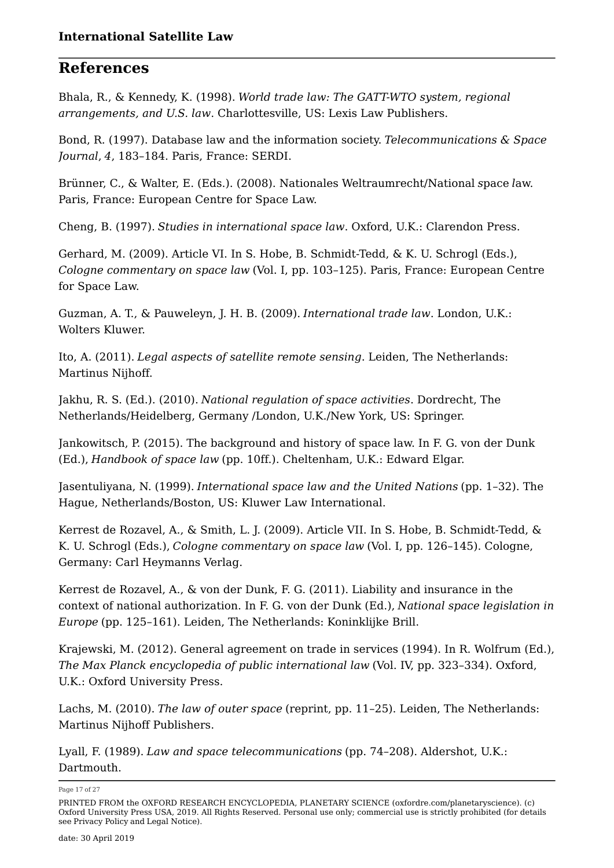### **References**

Bhala, R., & Kennedy, K. (1998). *World trade law: The GATT-WTO system, regional arrangements, and U.S. law*. Charlottesville, US: Lexis Law Publishers.

Bond, R. (1997). Database law and the information society. *Telecommunications & Space Journal*, *4*, 183–184. Paris, France: SERDI.

Brünner, C., & Walter, E. (Eds.). (2008). Nationales Weltraumrecht/National *s*pace *l*aw. Paris, France: European Centre for Space Law.

Cheng, B. (1997). *Studies in international space law*. Oxford, U.K.: Clarendon Press.

Gerhard, M. (2009). Article VI. In S. Hobe, B. Schmidt-Tedd, & K. U. Schrogl (Eds.), *Cologne commentary on space law* (Vol. I, pp. 103–125). Paris, France: European Centre for Space Law.

Guzman, A. T., & Pauweleyn, J. H. B. (2009). *International trade law*. London, U.K.: Wolters Kluwer.

Ito, A. (2011). *Legal aspects of satellite remote sensing*. Leiden, The Netherlands: Martinus Nijhoff.

Jakhu, R. S. (Ed.). (2010). *National regulation of space activities*. Dordrecht, The Netherlands/Heidelberg, Germany /London, U.K./New York, US: Springer.

Jankowitsch, P. (2015). The background and history of space law. In F. G. von der Dunk (Ed.), *Handbook of space law* (pp. 10ff.). Cheltenham, U.K.: Edward Elgar.

Jasentuliyana, N. (1999). *International space law and the United Nations* (pp. 1–32). The Hague, Netherlands/Boston, US: Kluwer Law International.

Kerrest de Rozavel, A., & Smith, L. J. (2009). Article VII. In S. Hobe, B. Schmidt-Tedd, & K. U. Schrogl (Eds.), *Cologne commentary on space law* (Vol. I, pp. 126–145). Cologne, Germany: Carl Heymanns Verlag.

Kerrest de Rozavel, A., & von der Dunk, F. G. (2011). Liability and insurance in the context of national authorization. In F. G. von der Dunk (Ed.), *National space legislation in Europe* (pp. 125–161). Leiden, The Netherlands: Koninklijke Brill.

Krajewski, M. (2012). General agreement on trade in services (1994). In R. Wolfrum (Ed.), *The Max Planck encyclopedia of public international law* (Vol. IV, pp. 323–334). Oxford, U.K.: Oxford University Press.

Lachs, M. (2010). *The law of outer space* (reprint, pp. 11–25). Leiden, The Netherlands: Martinus Nijhoff Publishers.

Lyall, F. (1989). *Law and space telecommunications* (pp. 74–208). Aldershot, U.K.: Dartmouth.

Page 17 of 27

PRINTED FROM the OXFORD RESEARCH ENCYCLOPEDIA, PLANETARY SCIENCE (oxfordre.com/planetaryscience). (c) Oxford University Press USA, 2019. All Rights Reserved. Personal use only; commercial use is strictly prohibited (for details see Privacy Policy and Legal Notice).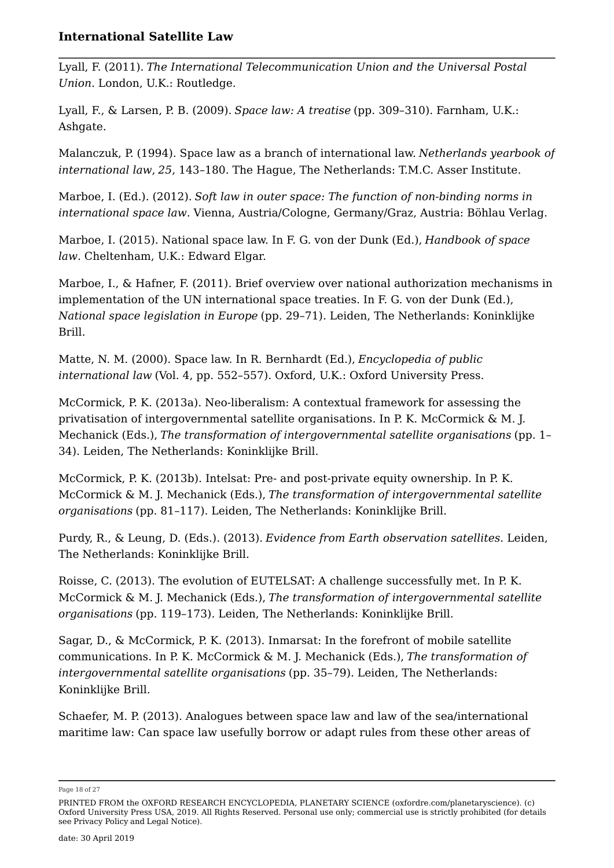Lyall, F. (2011). *The International Telecommunication Union and the Universal Postal Union*. London, U.K.: Routledge.

Lyall, F., & Larsen, P. B. (2009). *Space law: A treatise* (pp. 309–310). Farnham, U.K.: Ashgate.

Malanczuk, P. (1994). Space law as a branch of international law. *Netherlands yearbook of international law*, *25*, 143–180. The Hague, The Netherlands: T.M.C. Asser Institute.

Marboe, I. (Ed.). (2012). *Soft law in outer space: The function of non-binding norms in international space law*. Vienna, Austria/Cologne, Germany/Graz, Austria: Böhlau Verlag.

Marboe, I. (2015). National space law. In F. G. von der Dunk (Ed.), *Handbook of space law*. Cheltenham, U.K.: Edward Elgar.

Marboe, I., & Hafner, F. (2011). Brief overview over national authorization mechanisms in implementation of the UN international space treaties. In F. G. von der Dunk (Ed.), *National space legislation in Europe* (pp. 29–71). Leiden, The Netherlands: Koninklijke Brill.

Matte, N. M. (2000). Space law. In R. Bernhardt (Ed.), *Encyclopedia of public international law* (Vol. 4, pp. 552–557). Oxford, U.K.: Oxford University Press.

McCormick, P. K. (2013a). Neo-liberalism: A contextual framework for assessing the privatisation of intergovernmental satellite organisations. In P. K. McCormick & M. J. Mechanick (Eds.), *The transformation of intergovernmental satellite organisations* (pp. 1– 34). Leiden, The Netherlands: Koninklijke Brill.

McCormick, P. K. (2013b). Intelsat: Pre- and post-private equity ownership. In P. K. McCormick & M. J. Mechanick (Eds.), *The transformation of intergovernmental satellite organisations* (pp. 81–117). Leiden, The Netherlands: Koninklijke Brill.

Purdy, R., & Leung, D. (Eds.). (2013). *Evidence from Earth observation satellites*. Leiden, The Netherlands: Koninklijke Brill.

Roisse, C. (2013). The evolution of EUTELSAT: A challenge successfully met. In P. K. McCormick & M. J. Mechanick (Eds.), *The transformation of intergovernmental satellite organisations* (pp. 119–173). Leiden, The Netherlands: Koninklijke Brill.

Sagar, D., & McCormick, P. K. (2013). Inmarsat: In the forefront of mobile satellite communications. In P. K. McCormick & M. J. Mechanick (Eds.), *The transformation of intergovernmental satellite organisations* (pp. 35–79). Leiden, The Netherlands: Koninklijke Brill.

Schaefer, M. P. (2013). Analogues between space law and law of the sea/international maritime law: Can space law usefully borrow or adapt rules from these other areas of

Page 18 of 27

PRINTED FROM the OXFORD RESEARCH ENCYCLOPEDIA, PLANETARY SCIENCE (oxfordre.com/planetaryscience). (c) Oxford University Press USA, 2019. All Rights Reserved. Personal use only; commercial use is strictly prohibited (for details see Privacy Policy and Legal Notice).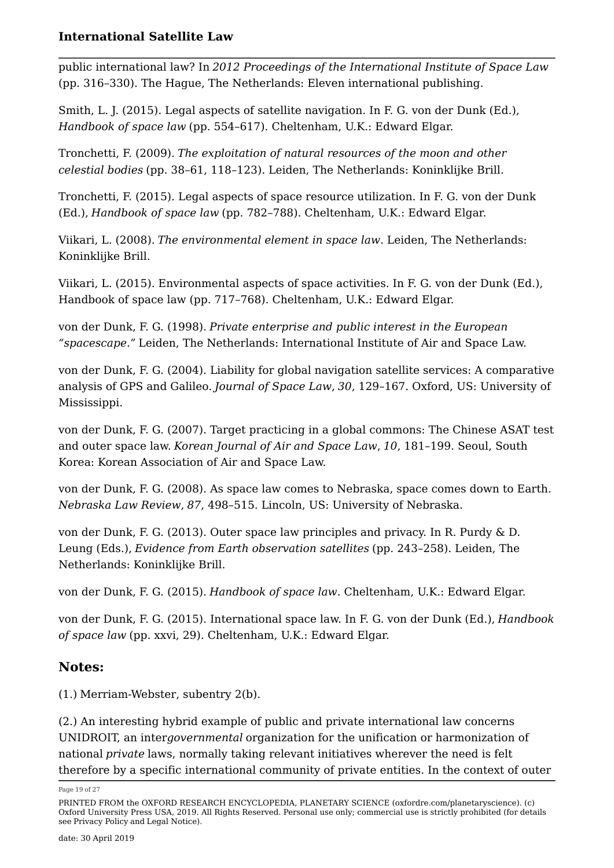public international law? In *2012 Proceedings of the International Institute of Space Law* (pp. 316–330). The Hague, The Netherlands: Eleven international publishing.

Smith, L. J. (2015). Legal aspects of satellite navigation. In F. G. von der Dunk (Ed.), *Handbook of space law* (pp. 554–617). Cheltenham, U.K.: Edward Elgar.

Tronchetti, F. (2009). *The exploitation of natural resources of the moon and other celestial bodies* (pp. 38–61, 118–123). Leiden, The Netherlands: Koninklijke Brill.

Tronchetti, F. (2015). Legal aspects of space resource utilization. In F. G. von der Dunk (Ed.), *Handbook of space law* (pp. 782–788). Cheltenham, U.K.: Edward Elgar.

Viikari, L. (2008). *The environmental element in space law*. Leiden, The Netherlands: Koninklijke Brill.

Viikari, L. (2015). Environmental aspects of space activities. In F. G. von der Dunk (Ed.), Handbook of space law (pp. 717–768). Cheltenham, U.K.: Edward Elgar.

von der Dunk, F. G. (1998). *Private enterprise and public interest in the European "spacescape."* Leiden, The Netherlands: International Institute of Air and Space Law.

von der Dunk, F. G. (2004). Liability for global navigation satellite services: A comparative analysis of GPS and Galileo. *Journal of Space Law*, *30*, 129–167. Oxford, US: University of Mississippi.

von der Dunk, F. G. (2007). Target practicing in a global commons: The Chinese ASAT test and outer space law. *Korean Journal of Air and Space Law*, *10*, 181–199. Seoul, South Korea: Korean Association of Air and Space Law.

von der Dunk, F. G. (2008). As space law comes to Nebraska, space comes down to Earth. *Nebraska Law Review*, *87*, 498–515. Lincoln, US: University of Nebraska.

von der Dunk, F. G. (2013). Outer space law principles and privacy. In R. Purdy & D. Leung (Eds.), *Evidence from Earth observation satellites* (pp. 243–258). Leiden, The Netherlands: Koninklijke Brill.

von der Dunk, F. G. (2015). *Handbook of space law*. Cheltenham, U.K.: Edward Elgar.

von der Dunk, F. G. (2015). International space law. In F. G. von der Dunk (Ed.), *Handbook of space law* (pp. xxvi, 29). Cheltenham, U.K.: Edward Elgar.

### **Notes:**

(1.) Merriam-Webster, subentry 2(b).

(2.) An interesting hybrid example of public and private international law concerns UNIDROIT, an inter*governmental* organization for the unification or harmonization of national *private* laws, normally taking relevant initiatives wherever the need is felt therefore by a specific international community of private entities. In the context of outer

Page 19 of 27

PRINTED FROM the OXFORD RESEARCH ENCYCLOPEDIA, PLANETARY SCIENCE (oxfordre.com/planetaryscience). (c) Oxford University Press USA, 2019. All Rights Reserved. Personal use only; commercial use is strictly prohibited (for details see Privacy Policy and Legal Notice).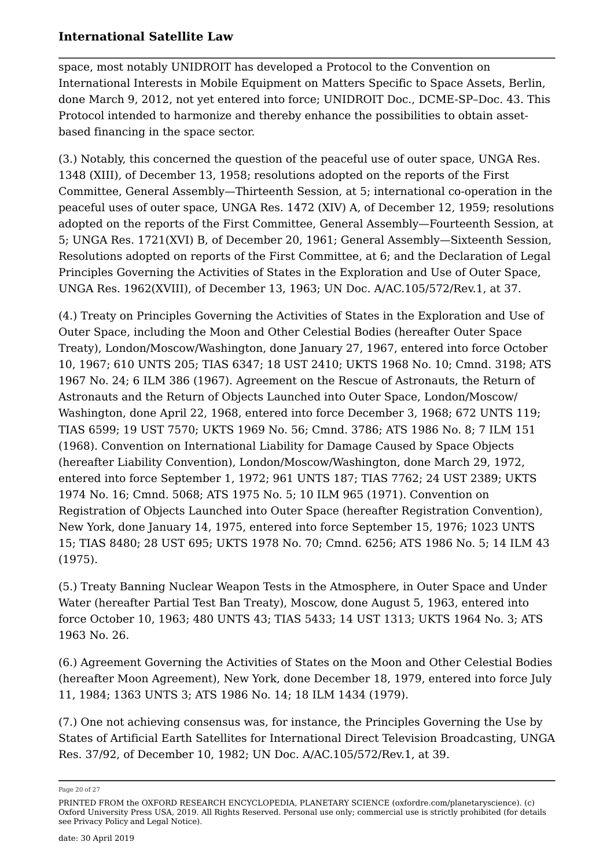space, most notably UNIDROIT has developed a Protocol to the Convention on International Interests in Mobile Equipment on Matters Specific to Space Assets, Berlin, done March 9, 2012, not yet entered into force; UNIDROIT Doc., DCME-SP–Doc. 43. This Protocol intended to harmonize and thereby enhance the possibilities to obtain assetbased financing in the space sector.

(3.) Notably, this concerned the question of the peaceful use of outer space, UNGA Res. 1348 (XIII), of December 13, 1958; resolutions adopted on the reports of the First Committee, General Assembly—Thirteenth Session, at 5; international co-operation in the peaceful uses of outer space, UNGA Res. 1472 (XIV) A, of December 12, 1959; resolutions adopted on the reports of the First Committee, General Assembly—Fourteenth Session, at 5; UNGA Res. 1721(XVI) B, of December 20, 1961; General Assembly—Sixteenth Session, Resolutions adopted on reports of the First Committee, at 6; and the Declaration of Legal Principles Governing the Activities of States in the Exploration and Use of Outer Space, UNGA Res. 1962(XVIII), of December 13, 1963; UN Doc. A/AC.105/572/Rev.1, at 37.

(4.) Treaty on Principles Governing the Activities of States in the Exploration and Use of Outer Space, including the Moon and Other Celestial Bodies (hereafter Outer Space Treaty), London/Moscow/Washington, done January 27, 1967, entered into force October 10, 1967; 610 UNTS 205; TIAS 6347; 18 UST 2410; UKTS 1968 No. 10; Cmnd. 3198; ATS 1967 No. 24; 6 ILM 386 (1967). Agreement on the Rescue of Astronauts, the Return of Astronauts and the Return of Objects Launched into Outer Space, London/Moscow/ Washington, done April 22, 1968, entered into force December 3, 1968; 672 UNTS 119; TIAS 6599; 19 UST 7570; UKTS 1969 No. 56; Cmnd. 3786; ATS 1986 No. 8; 7 ILM 151 (1968). Convention on International Liability for Damage Caused by Space Objects (hereafter Liability Convention), London/Moscow/Washington, done March 29, 1972, entered into force September 1, 1972; 961 UNTS 187; TIAS 7762; 24 UST 2389; UKTS 1974 No. 16; Cmnd. 5068; ATS 1975 No. 5; 10 ILM 965 (1971). Convention on Registration of Objects Launched into Outer Space (hereafter Registration Convention), New York, done January 14, 1975, entered into force September 15, 1976; 1023 UNTS 15; TIAS 8480; 28 UST 695; UKTS 1978 No. 70; Cmnd. 6256; ATS 1986 No. 5; 14 ILM 43 (1975).

(5.) Treaty Banning Nuclear Weapon Tests in the Atmosphere, in Outer Space and Under Water (hereafter Partial Test Ban Treaty), Moscow, done August 5, 1963, entered into force October 10, 1963; 480 UNTS 43; TIAS 5433; 14 UST 1313; UKTS 1964 No. 3; ATS 1963 No. 26.

(6.) Agreement Governing the Activities of States on the Moon and Other Celestial Bodies (hereafter Moon Agreement), New York, done December 18, 1979, entered into force July 11, 1984; 1363 UNTS 3; ATS 1986 No. 14; 18 ILM 1434 (1979).

(7.) One not achieving consensus was, for instance, the Principles Governing the Use by States of Artificial Earth Satellites for International Direct Television Broadcasting, UNGA Res. 37/92, of December 10, 1982; UN Doc. A/AC.105/572/Rev.1, at 39.

Page 20 of 27

PRINTED FROM the OXFORD RESEARCH ENCYCLOPEDIA, PLANETARY SCIENCE (oxfordre.com/planetaryscience). (c) Oxford University Press USA, 2019. All Rights Reserved. Personal use only; commercial use is strictly prohibited (for details see Privacy Policy and Legal Notice).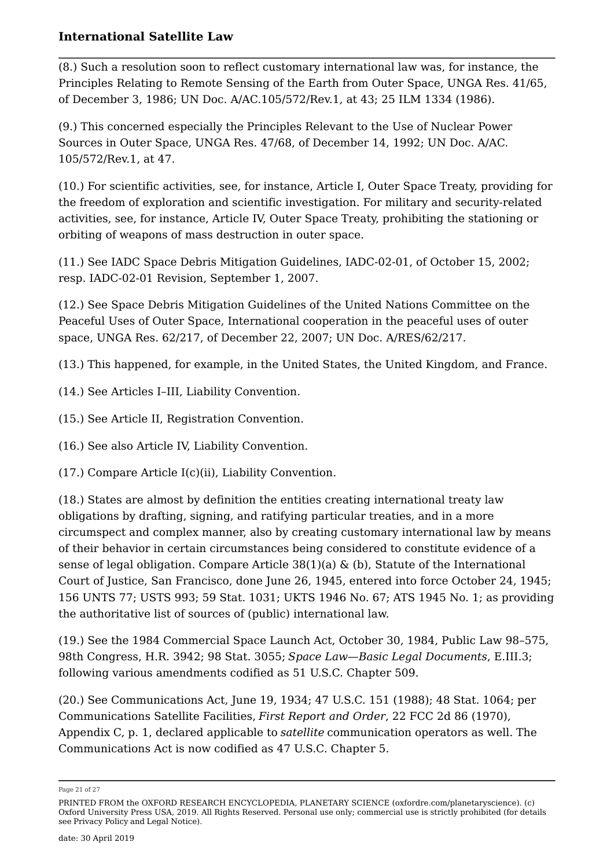(8.) Such a resolution soon to reflect customary international law was, for instance, the Principles Relating to Remote Sensing of the Earth from Outer Space, UNGA Res. 41/65, of December 3, 1986; UN Doc. A/AC.105/572/Rev.1, at 43; 25 ILM 1334 (1986).

(9.) This concerned especially the Principles Relevant to the Use of Nuclear Power Sources in Outer Space, UNGA Res. 47/68, of December 14, 1992; UN Doc. A/AC. 105/572/Rev.1, at 47.

(10.) For scientific activities, see, for instance, Article I, Outer Space Treaty, providing for the freedom of exploration and scientific investigation. For military and security-related activities, see, for instance, Article IV, Outer Space Treaty, prohibiting the stationing or orbiting of weapons of mass destruction in outer space.

(11.) See IADC Space Debris Mitigation Guidelines, IADC-02-01, of October 15, 2002; resp. IADC-02-01 Revision, September 1, 2007.

(12.) See Space Debris Mitigation Guidelines of the United Nations Committee on the Peaceful Uses of Outer Space, International cooperation in the peaceful uses of outer space, UNGA Res. 62/217, of December 22, 2007; UN Doc. A/RES/62/217.

(13.) This happened, for example, in the United States, the United Kingdom, and France.

(14.) See Articles I–III, Liability Convention.

(15.) See Article II, Registration Convention.

(16.) See also Article IV, Liability Convention.

(17.) Compare Article I(c)(ii), Liability Convention.

(18.) States are almost by definition the entities creating international treaty law obligations by drafting, signing, and ratifying particular treaties, and in a more circumspect and complex manner, also by creating customary international law by means of their behavior in certain circumstances being considered to constitute evidence of a sense of legal obligation. Compare Article 38(1)(a) & (b), Statute of the International Court of Justice, San Francisco, done June 26, 1945, entered into force October 24, 1945; 156 UNTS 77; USTS 993; 59 Stat. 1031; UKTS 1946 No. 67; ATS 1945 No. 1; as providing the authoritative list of sources of (public) international law.

(19.) See the 1984 Commercial Space Launch Act, October 30, 1984, Public Law 98–575, 98th Congress, H.R. 3942; 98 Stat. 3055; *Space Law—Basic Legal Documents*, E.III.3; following various amendments codified as 51 U.S.C. Chapter 509.

(20.) See Communications Act, June 19, 1934; 47 U.S.C. 151 (1988); 48 Stat. 1064; per Communications Satellite Facilities, *First Report and Order*, 22 FCC 2d 86 (1970), Appendix C, p. 1, declared applicable to *satellite* communication operators as well. The Communications Act is now codified as 47 U.S.C. Chapter 5.

Page 21 of 27

PRINTED FROM the OXFORD RESEARCH ENCYCLOPEDIA, PLANETARY SCIENCE (oxfordre.com/planetaryscience). (c) Oxford University Press USA, 2019. All Rights Reserved. Personal use only; commercial use is strictly prohibited (for details see Privacy Policy and Legal Notice).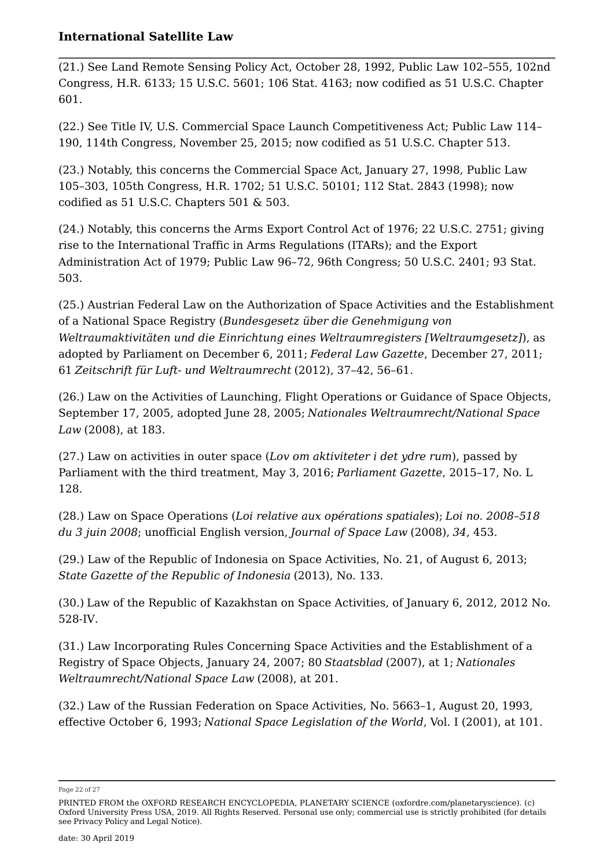(21.) See Land Remote Sensing Policy Act, October 28, 1992, Public Law 102–555, 102nd Congress, H.R. 6133; 15 U.S.C. 5601; 106 Stat. 4163; now codified as 51 U.S.C. Chapter 601.

(22.) See Title IV, U.S. Commercial Space Launch Competitiveness Act; Public Law 114– 190, 114th Congress, November 25, 2015; now codified as 51 U.S.C. Chapter 513.

(23.) Notably, this concerns the Commercial Space Act, January 27, 1998, Public Law 105–303, 105th Congress, H.R. 1702; 51 U.S.C. 50101; 112 Stat. 2843 (1998); now codified as 51 U.S.C. Chapters 501 & 503.

(24.) Notably, this concerns the Arms Export Control Act of 1976; 22 U.S.C. 2751; giving rise to the International Traffic in Arms Regulations (ITARs); and the Export Administration Act of 1979; Public Law 96–72, 96th Congress; 50 U.S.C. 2401; 93 Stat. 503.

(25.) Austrian Federal Law on the Authorization of Space Activities and the Establishment of a National Space Registry (*Bundesgesetz über die Genehmigung von Weltraumaktivitäten und die Einrichtung eines Weltraumregisters [Weltraumgesetz]*), as adopted by Parliament on December 6, 2011; *Federal Law Gazette*, December 27, 2011; 61 *Zeitschrift für Luft- und Weltraumrecht* (2012), 37–42, 56–61.

(26.) Law on the Activities of Launching, Flight Operations or Guidance of Space Objects, September 17, 2005, adopted June 28, 2005; *Nationales Weltraumrecht/National Space Law* (2008), at 183.

(27.) Law on activities in outer space (*Lov om aktiviteter i det ydre rum*), passed by Parliament with the third treatment, May 3, 2016; *Parliament Gazette*, 2015–17, No. L 128.

(28.) Law on Space Operations (*Loi relative aux opérations spatiales*); *Loi no. 2008–518 du 3 juin 2008*; unofficial English version, *Journal of Space Law* (2008), *34*, 453.

(29.) Law of the Republic of Indonesia on Space Activities, No. 21, of August 6, 2013; *State Gazette of the Republic of Indonesia* (2013), No. 133.

(30.) Law of the Republic of Kazakhstan on Space Activities, of January 6, 2012, 2012 No. 528-IV.

(31.) Law Incorporating Rules Concerning Space Activities and the Establishment of a Registry of Space Objects, January 24, 2007; 80 *Staatsblad* (2007), at 1; *Nationales Weltraumrecht/National Space Law* (2008), at 201.

(32.) Law of the Russian Federation on Space Activities, No. 5663–1, August 20, 1993, effective October 6, 1993; *National Space Legislation of the World*, Vol. I (2001), at 101.

Page 22 of 27

PRINTED FROM the OXFORD RESEARCH ENCYCLOPEDIA, PLANETARY SCIENCE (oxfordre.com/planetaryscience). (c) Oxford University Press USA, 2019. All Rights Reserved. Personal use only; commercial use is strictly prohibited (for details see Privacy Policy and Legal Notice).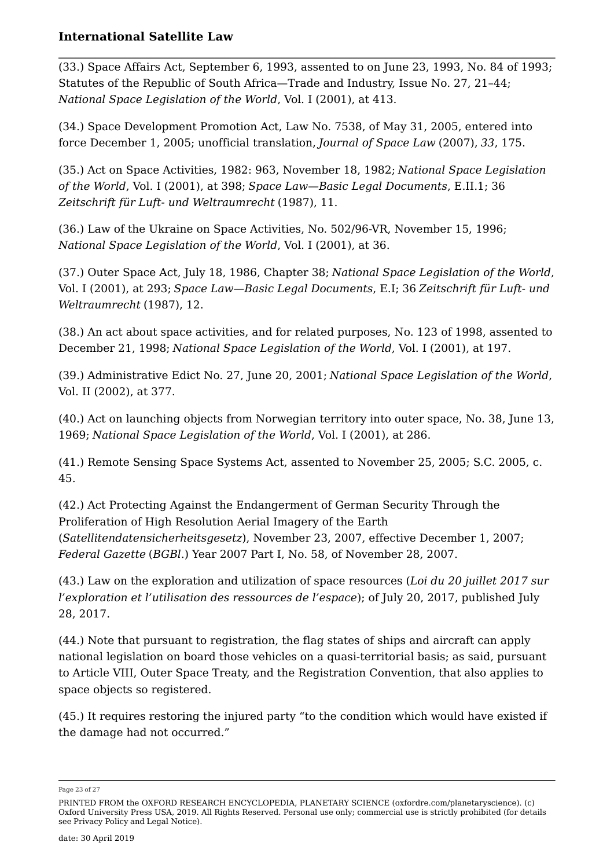(33.) Space Affairs Act, September 6, 1993, assented to on June 23, 1993, No. 84 of 1993; Statutes of the Republic of South Africa—Trade and Industry, Issue No. 27, 21–44; *National Space Legislation of the World*, Vol. I (2001), at 413.

(34.) Space Development Promotion Act, Law No. 7538, of May 31, 2005, entered into force December 1, 2005; unofficial translation, *Journal of Space Law* (2007), *33*, 175.

(35.) Act on Space Activities, 1982: 963, November 18, 1982; *National Space Legislation of the World*, Vol. I (2001), at 398; *Space Law—Basic Legal Documents*, E.II.1; 36 *Zeitschrift für Luft- und Weltraumrecht* (1987), 11.

(36.) Law of the Ukraine on Space Activities, No. 502/96-VR, November 15, 1996; *National Space Legislation of the World*, Vol. I (2001), at 36.

(37.) Outer Space Act, July 18, 1986, Chapter 38; *National Space Legislation of the World*, Vol. I (2001), at 293; *Space Law—Basic Legal Documents*, E.I; 36 *Zeitschrift für Luft- und Weltraumrecht* (1987), 12.

(38.) An act about space activities, and for related purposes, No. 123 of 1998, assented to December 21, 1998; *National Space Legislation of the World*, Vol. I (2001), at 197.

(39.) Administrative Edict No. 27, June 20, 2001; *National Space Legislation of the World*, Vol. II (2002), at 377.

(40.) Act on launching objects from Norwegian territory into outer space, No. 38, June 13, 1969; *National Space Legislation of the World*, Vol. I (2001), at 286.

(41.) Remote Sensing Space Systems Act, assented to November 25, 2005; S.C. 2005, c. 45.

(42.) Act Protecting Against the Endangerment of German Security Through the Proliferation of High Resolution Aerial Imagery of the Earth (*Satellitendatensicherheitsgesetz*), November 23, 2007, effective December 1, 2007; *Federal Gazette* (*BGBl*.) Year 2007 Part I, No. 58, of November 28, 2007.

(43.) Law on the exploration and utilization of space resources (*Loi du 20 juillet 2017 sur l'exploration et l'utilisation des ressources de l'espace*); of July 20, 2017, published July 28, 2017.

(44.) Note that pursuant to registration, the flag states of ships and aircraft can apply national legislation on board those vehicles on a quasi-territorial basis; as said, pursuant to Article VIII, Outer Space Treaty, and the Registration Convention, that also applies to space objects so registered.

(45.) It requires restoring the injured party "to the condition which would have existed if the damage had not occurred."

Page 23 of 27

PRINTED FROM the OXFORD RESEARCH ENCYCLOPEDIA, PLANETARY SCIENCE (oxfordre.com/planetaryscience). (c) Oxford University Press USA, 2019. All Rights Reserved. Personal use only; commercial use is strictly prohibited (for details see Privacy Policy and Legal Notice).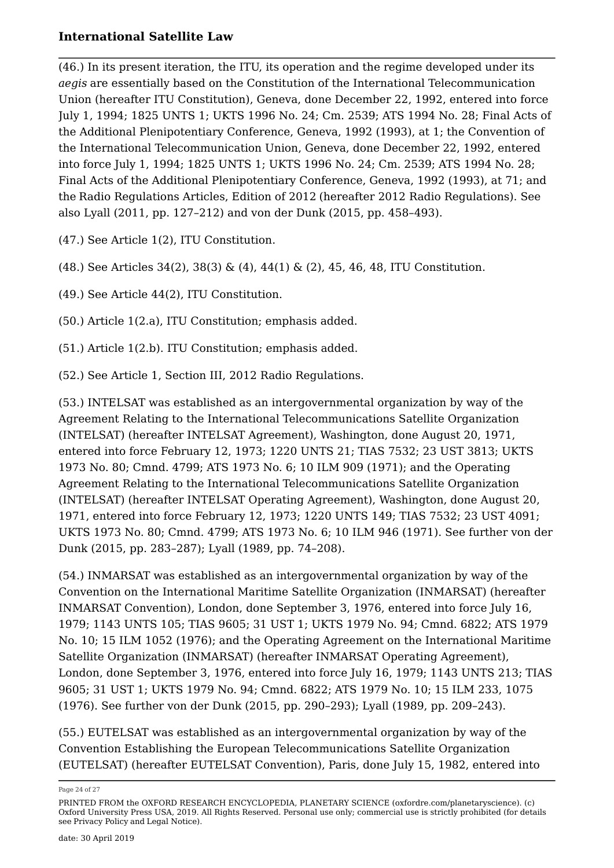(46.) In its present iteration, the ITU, its operation and the regime developed under its *aegis* are essentially based on the Constitution of the International Telecommunication Union (hereafter ITU Constitution), Geneva, done December 22, 1992, entered into force July 1, 1994; 1825 UNTS 1; UKTS 1996 No. 24; Cm. 2539; ATS 1994 No. 28; Final Acts of the Additional Plenipotentiary Conference, Geneva, 1992 (1993), at 1; the Convention of the International Telecommunication Union, Geneva, done December 22, 1992, entered into force July 1, 1994; 1825 UNTS 1; UKTS 1996 No. 24; Cm. 2539; ATS 1994 No. 28; Final Acts of the Additional Plenipotentiary Conference, Geneva, 1992 (1993), at 71; and the Radio Regulations Articles, Edition of 2012 (hereafter 2012 Radio Regulations). See also Lyall (2011, pp. 127–212) and von der Dunk (2015, pp. 458–493).

(47.) See Article 1(2), ITU Constitution.

(48.) See Articles 34(2), 38(3) & (4), 44(1) & (2), 45, 46, 48, ITU Constitution.

(49.) See Article 44(2), ITU Constitution.

(50.) Article 1(2.a), ITU Constitution; emphasis added.

(51.) Article 1(2.b). ITU Constitution; emphasis added.

(52.) See Article 1, Section III, 2012 Radio Regulations.

(53.) INTELSAT was established as an intergovernmental organization by way of the Agreement Relating to the International Telecommunications Satellite Organization (INTELSAT) (hereafter INTELSAT Agreement), Washington, done August 20, 1971, entered into force February 12, 1973; 1220 UNTS 21; TIAS 7532; 23 UST 3813; UKTS 1973 No. 80; Cmnd. 4799; ATS 1973 No. 6; 10 ILM 909 (1971); and the Operating Agreement Relating to the International Telecommunications Satellite Organization (INTELSAT) (hereafter INTELSAT Operating Agreement), Washington, done August 20, 1971, entered into force February 12, 1973; 1220 UNTS 149; TIAS 7532; 23 UST 4091; UKTS 1973 No. 80; Cmnd. 4799; ATS 1973 No. 6; 10 ILM 946 (1971). See further von der Dunk (2015, pp. 283–287); Lyall (1989, pp. 74–208).

(54.) INMARSAT was established as an intergovernmental organization by way of the Convention on the International Maritime Satellite Organization (INMARSAT) (hereafter INMARSAT Convention), London, done September 3, 1976, entered into force July 16, 1979; 1143 UNTS 105; TIAS 9605; 31 UST 1; UKTS 1979 No. 94; Cmnd. 6822; ATS 1979 No. 10; 15 ILM 1052 (1976); and the Operating Agreement on the International Maritime Satellite Organization (INMARSAT) (hereafter INMARSAT Operating Agreement), London, done September 3, 1976, entered into force July 16, 1979; 1143 UNTS 213; TIAS 9605; 31 UST 1; UKTS 1979 No. 94; Cmnd. 6822; ATS 1979 No. 10; 15 ILM 233, 1075 (1976). See further von der Dunk (2015, pp. 290–293); Lyall (1989, pp. 209–243).

(55.) EUTELSAT was established as an intergovernmental organization by way of the Convention Establishing the European Telecommunications Satellite Organization (EUTELSAT) (hereafter EUTELSAT Convention), Paris, done July 15, 1982, entered into

Page 24 of 27

PRINTED FROM the OXFORD RESEARCH ENCYCLOPEDIA, PLANETARY SCIENCE (oxfordre.com/planetaryscience). (c) Oxford University Press USA, 2019. All Rights Reserved. Personal use only; commercial use is strictly prohibited (for details see Privacy Policy and Legal Notice).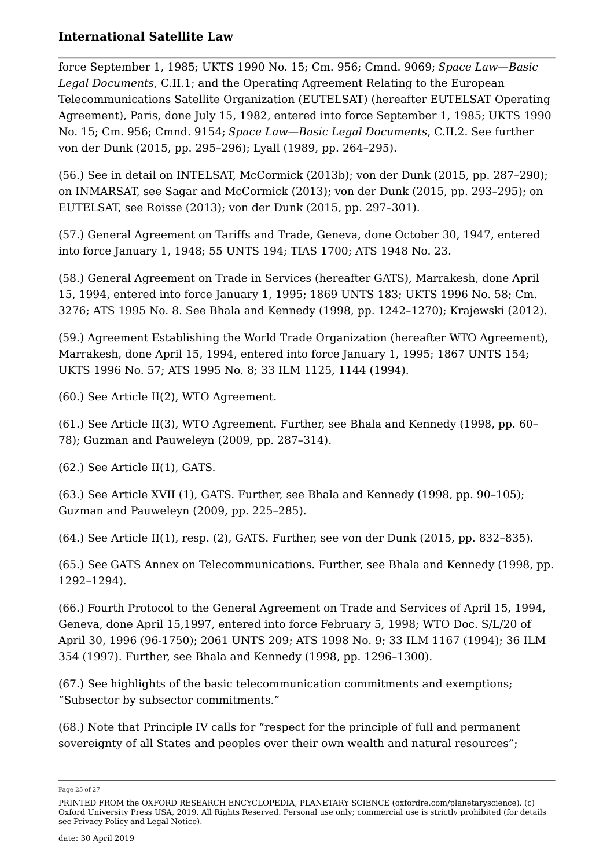force September 1, 1985; UKTS 1990 No. 15; Cm. 956; Cmnd. 9069; *Space Law—Basic Legal Documents*, C.II.1; and the Operating Agreement Relating to the European Telecommunications Satellite Organization (EUTELSAT) (hereafter EUTELSAT Operating Agreement), Paris, done July 15, 1982, entered into force September 1, 1985; UKTS 1990 No. 15; Cm. 956; Cmnd. 9154; *Space Law—Basic Legal Documents*, C.II.2. See further von der Dunk (2015, pp. 295–296); Lyall (1989, pp. 264–295).

(56.) See in detail on INTELSAT, McCormick (2013b); von der Dunk (2015, pp. 287–290); on INMARSAT, see Sagar and McCormick (2013); von der Dunk (2015, pp. 293–295); on EUTELSAT, see Roisse (2013); von der Dunk (2015, pp. 297–301).

(57.) General Agreement on Tariffs and Trade, Geneva, done October 30, 1947, entered into force January 1, 1948; 55 UNTS 194; TIAS 1700; ATS 1948 No. 23.

(58.) General Agreement on Trade in Services (hereafter GATS), Marrakesh, done April 15, 1994, entered into force January 1, 1995; 1869 UNTS 183; UKTS 1996 No. 58; Cm. 3276; ATS 1995 No. 8. See Bhala and Kennedy (1998, pp. 1242–1270); Krajewski (2012).

(59.) Agreement Establishing the World Trade Organization (hereafter WTO Agreement), Marrakesh, done April 15, 1994, entered into force January 1, 1995; 1867 UNTS 154; UKTS 1996 No. 57; ATS 1995 No. 8; 33 ILM 1125, 1144 (1994).

(60.) See Article II(2), WTO Agreement.

(61.) See Article II(3), WTO Agreement. Further, see Bhala and Kennedy (1998, pp. 60– 78); Guzman and Pauweleyn (2009, pp. 287–314).

(62.) See Article II(1), GATS.

(63.) See Article XVII (1), GATS. Further, see Bhala and Kennedy (1998, pp. 90–105); Guzman and Pauweleyn (2009, pp. 225–285).

(64.) See Article II(1), resp. (2), GATS. Further, see von der Dunk (2015, pp. 832–835).

(65.) See GATS Annex on Telecommunications. Further, see Bhala and Kennedy (1998, pp. 1292–1294).

(66.) Fourth Protocol to the General Agreement on Trade and Services of April 15, 1994, Geneva, done April 15,1997, entered into force February 5, 1998; WTO Doc. S/L/20 of April 30, 1996 (96-1750); 2061 UNTS 209; ATS 1998 No. 9; 33 ILM 1167 (1994); 36 ILM 354 (1997). Further, see Bhala and Kennedy (1998, pp. 1296–1300).

(67.) See highlights of the basic telecommunication commitments and exemptions; "Subsector by subsector commitments."

(68.) Note that Principle IV calls for "respect for the principle of full and permanent sovereignty of all States and peoples over their own wealth and natural resources";

Page 25 of 27

PRINTED FROM the OXFORD RESEARCH ENCYCLOPEDIA, PLANETARY SCIENCE (oxfordre.com/planetaryscience). (c) Oxford University Press USA, 2019. All Rights Reserved. Personal use only; commercial use is strictly prohibited (for details see Privacy Policy and Legal Notice).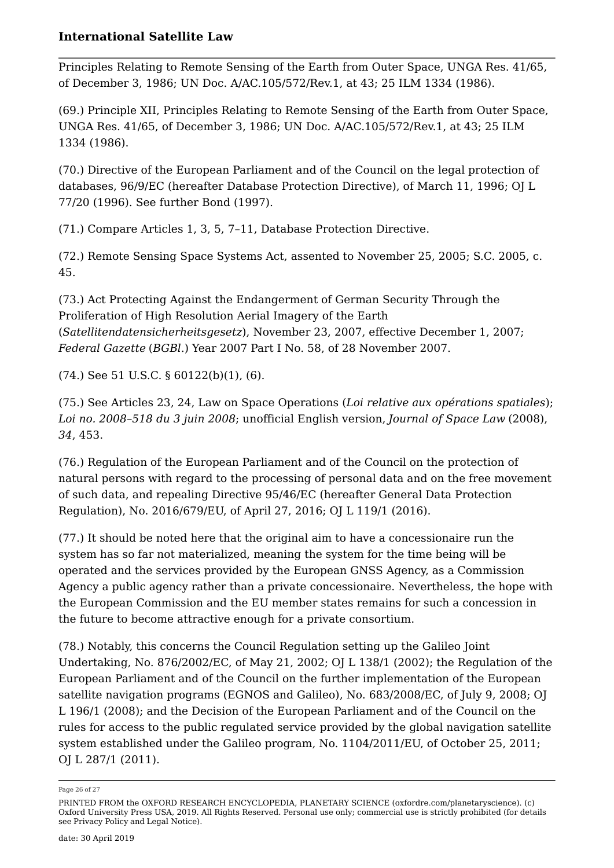Principles Relating to Remote Sensing of the Earth from Outer Space, UNGA Res. 41/65, of December 3, 1986; UN Doc. A/AC.105/572/Rev.1, at 43; 25 ILM 1334 (1986).

(69.) Principle XII, Principles Relating to Remote Sensing of the Earth from Outer Space, UNGA Res. 41/65, of December 3, 1986; UN Doc. A/AC.105/572/Rev.1, at 43; 25 ILM 1334 (1986).

(70.) Directive of the European Parliament and of the Council on the legal protection of databases, 96/9/EC (hereafter Database Protection Directive), of March 11, 1996; OJ L 77/20 (1996). See further Bond (1997).

(71.) Compare Articles 1, 3, 5, 7–11, Database Protection Directive.

(72.) Remote Sensing Space Systems Act, assented to November 25, 2005; S.C. 2005, c. 45.

(73.) Act Protecting Against the Endangerment of German Security Through the Proliferation of High Resolution Aerial Imagery of the Earth (*Satellitendatensicherheitsgesetz*), November 23, 2007, effective December 1, 2007; *Federal Gazette* (*BGBl*.) Year 2007 Part I No. 58, of 28 November 2007.

(74.) See 51 U.S.C. § 60122(b)(1), (6).

(75.) See Articles 23, 24, Law on Space Operations (*Loi relative aux opérations spatiales*); *Loi no. 2008–518 du 3 juin 2008*; unofficial English version, *Journal of Space Law* (2008), *34*, 453.

(76.) Regulation of the European Parliament and of the Council on the protection of natural persons with regard to the processing of personal data and on the free movement of such data, and repealing Directive 95/46/EC (hereafter General Data Protection Regulation), No. 2016/679/EU, of April 27, 2016; OJ L 119/1 (2016).

(77.) It should be noted here that the original aim to have a concessionaire run the system has so far not materialized, meaning the system for the time being will be operated and the services provided by the European GNSS Agency, as a Commission Agency a public agency rather than a private concessionaire. Nevertheless, the hope with the European Commission and the EU member states remains for such a concession in the future to become attractive enough for a private consortium.

(78.) Notably, this concerns the Council Regulation setting up the Galileo Joint Undertaking, No. 876/2002/EC, of May 21, 2002; OJ L 138/1 (2002); the Regulation of the European Parliament and of the Council on the further implementation of the European satellite navigation programs (EGNOS and Galileo), No. 683/2008/EC, of July 9, 2008; OJ L 196/1 (2008); and the Decision of the European Parliament and of the Council on the rules for access to the public regulated service provided by the global navigation satellite system established under the Galileo program, No. 1104/2011/EU, of October 25, 2011; OJ L 287/1 (2011).

Page 26 of 27

PRINTED FROM the OXFORD RESEARCH ENCYCLOPEDIA, PLANETARY SCIENCE (oxfordre.com/planetaryscience). (c) Oxford University Press USA, 2019. All Rights Reserved. Personal use only; commercial use is strictly prohibited (for details see Privacy Policy and Legal Notice).